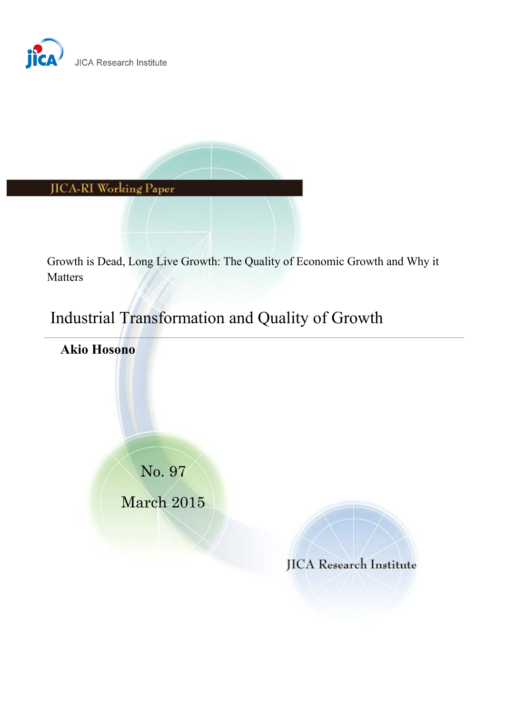



Growth is Dead, Long Live Growth: The Quality of Economic Growth and Why it Matters

# Industrial Transformation and Quality of Growth

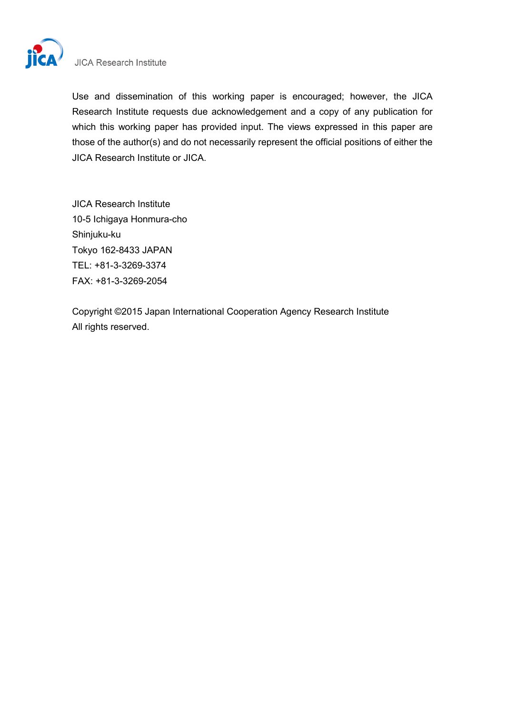

# **JICA Research Institute**

Use and dissemination of this working paper is encouraged; however, the JICA Research Institute requests due acknowledgement and a copy of any publication for which this working paper has provided input. The views expressed in this paper are those of the author(s) and do not necessarily represent the official positions of either the JICA Research Institute or JICA.

JICA Research Institute 10-5 Ichigaya Honmura-cho Shinjuku-ku Tokyo 162-8433 JAPAN TEL: +81-3-3269-3374 FAX: +81-3-3269-2054

Copyright ©2015 Japan International Cooperation Agency Research Institute All rights reserved.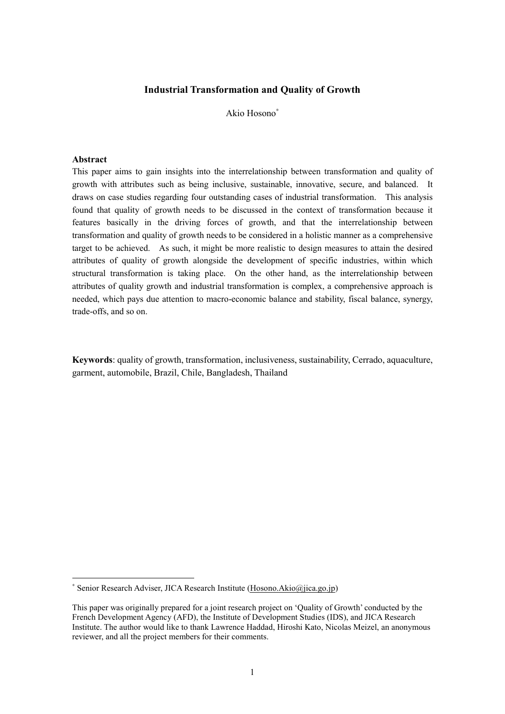## **Industrial Transformation and Quality of Growth**

Akio Hosono<sup>∗</sup>

#### **Abstract**

-

This paper aims to gain insights into the interrelationship between transformation and quality of growth with attributes such as being inclusive, sustainable, innovative, secure, and balanced. It draws on case studies regarding four outstanding cases of industrial transformation. This analysis found that quality of growth needs to be discussed in the context of transformation because it features basically in the driving forces of growth, and that the interrelationship between transformation and quality of growth needs to be considered in a holistic manner as a comprehensive target to be achieved. As such, it might be more realistic to design measures to attain the desired attributes of quality of growth alongside the development of specific industries, within which structural transformation is taking place. On the other hand, as the interrelationship between attributes of quality growth and industrial transformation is complex, a comprehensive approach is needed, which pays due attention to macro-economic balance and stability, fiscal balance, synergy, trade-offs, and so on.

**Keywords**: quality of growth, transformation, inclusiveness, sustainability, Cerrado, aquaculture, garment, automobile, Brazil, Chile, Bangladesh, Thailand

<sup>∗</sup> Senior Research Adviser, JICA Research Institute [\(Hosono.Akio@jica.go.jp\)](mailto:Hosono.Akio@jica.go.jp)

This paper was originally prepared for a joint research project on 'Quality of Growth' conducted by the French Development Agency (AFD), the Institute of Development Studies (IDS), and JICA Research Institute. The author would like to thank Lawrence Haddad, Hiroshi Kato, Nicolas Meizel, an anonymous reviewer, and all the project members for their comments.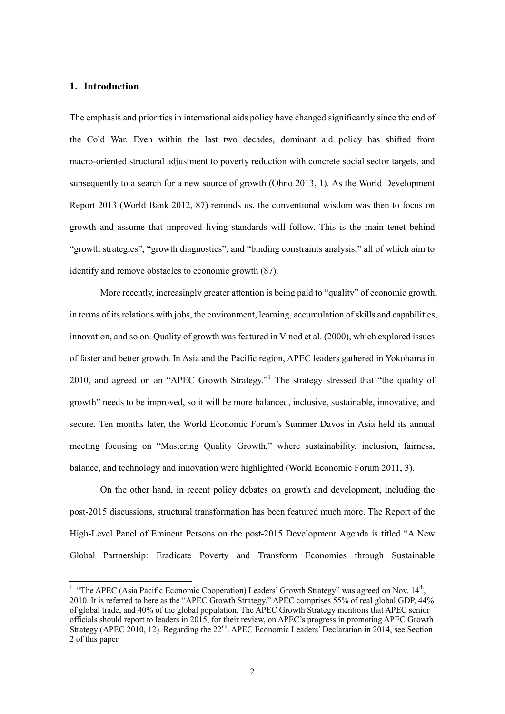## **1. Introduction**

The emphasis and priorities in international aids policy have changed significantly since the end of the Cold War. Even within the last two decades, dominant aid policy has shifted from macro-oriented structural adjustment to poverty reduction with concrete social sector targets, and subsequently to a search for a new source of growth (Ohno 2013, 1). As the World Development Report 2013 (World Bank 2012, 87) reminds us, the conventional wisdom was then to focus on growth and assume that improved living standards will follow. This is the main tenet behind "growth strategies", "growth diagnostics", and "binding constraints analysis," all of which aim to identify and remove obstacles to economic growth (87).

More recently, increasingly greater attention is being paid to "quality" of economic growth, in terms of its relations with jobs, the environment, learning, accumulation of skills and capabilities, innovation, and so on. Quality of growth was featured in Vinod et al. (2000), which explored issues of faster and better growth. In Asia and the Pacific region, APEC leaders gathered in Yokohama in 2010, and agreed on an "APEC Growth Strategy."<sup>1</sup> The strategy stressed that "the quality of growth" needs to be improved, so it will be more balanced, inclusive, sustainable, innovative, and secure. Ten months later, the World Economic Forum's Summer Davos in Asia held its annual meeting focusing on "Mastering Quality Growth," where sustainability, inclusion, fairness, balance, and technology and innovation were highlighted (World Economic Forum 2011, 3).

On the other hand, in recent policy debates on growth and development, including the post-2015 discussions, structural transformation has been featured much more. The Report of the High-Level Panel of Eminent Persons on the post-2015 Development Agenda is titled "A New Global Partnership: Eradicate Poverty and Transform Economies through Sustainable

<sup>&</sup>lt;sup>1</sup> "The APEC (Asia Pacific Economic Cooperation) Leaders' Growth Strategy" was agreed on Nov. 14<sup>th</sup>, 2010. It is referred to here as the "APEC Growth Strategy." APEC comprises 55% of real global GDP, 44% of global trade, and 40% of the global population. The APEC Growth Strategy mentions that APEC senior officials should report to leaders in 2015, for their review, on APEC's progress in promoting APEC Growth Strategy (APEC 2010, 12). Regarding the 22<sup>nd</sup>. APEC Economic Leaders' Declaration in 2014, see Section 2 of this paper.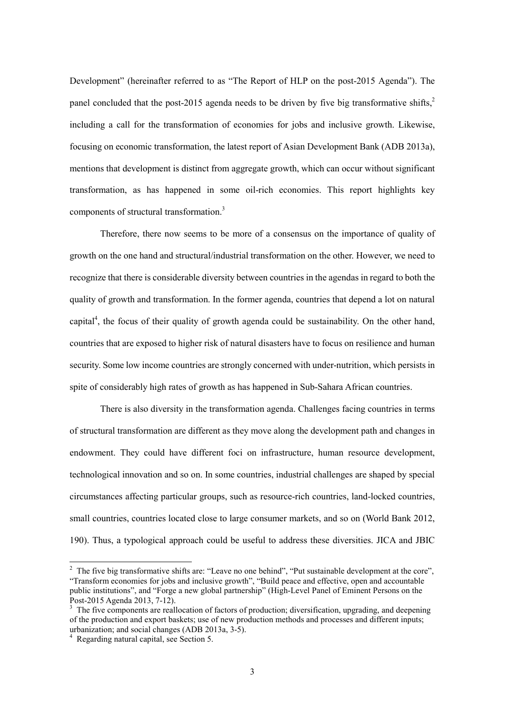Development" (hereinafter referred to as "The Report of HLP on the post-2015 Agenda"). The panel concluded that the post-2015 agenda needs to be driven by five big transformative shifts, $\frac{2}{3}$ including a call for the transformation of economies for jobs and inclusive growth. Likewise, focusing on economic transformation, the latest report of Asian Development Bank (ADB 2013a), mentions that development is distinct from aggregate growth, which can occur without significant transformation, as has happened in some oil-rich economies. This report highlights key components of structural transformation.3

Therefore, there now seems to be more of a consensus on the importance of quality of growth on the one hand and structural/industrial transformation on the other. However, we need to recognize that there is considerable diversity between countries in the agendas in regard to both the quality of growth and transformation. In the former agenda, countries that depend a lot on natural capital<sup>4</sup>, the focus of their quality of growth agenda could be sustainability. On the other hand, countries that are exposed to higher risk of natural disasters have to focus on resilience and human security. Some low income countries are strongly concerned with under-nutrition, which persists in spite of considerably high rates of growth as has happened in Sub-Sahara African countries.

There is also diversity in the transformation agenda. Challenges facing countries in terms of structural transformation are different as they move along the development path and changes in endowment. They could have different foci on infrastructure, human resource development, technological innovation and so on. In some countries, industrial challenges are shaped by special circumstances affecting particular groups, such as resource-rich countries, land-locked countries, small countries, countries located close to large consumer markets, and so on (World Bank 2012, 190). Thus, a typological approach could be useful to address these diversities. JICA and JBIC

<sup>&</sup>lt;sup>2</sup> The five big transformative shifts are: "Leave no one behind", "Put sustainable development at the core", "Transform economies for jobs and inclusive growth", "Build peace and effective, open and accountable public institutions", and "Forge a new global partnership" (High-Level Panel of Eminent Persons on the Post-2015 Agenda 2013, 7-12).

<sup>3</sup> The five components are reallocation of factors of production; diversification, upgrading, and deepening of the production and export baskets; use of new production methods and processes and different inputs; urbanization; and social changes (ADB 2013a, 3-5).

<sup>4</sup> Regarding natural capital, see Section 5.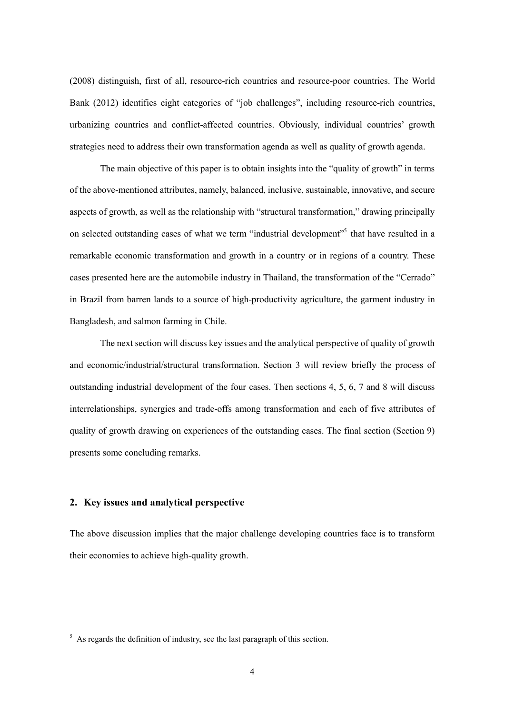(2008) distinguish, first of all, resource-rich countries and resource-poor countries. The World Bank (2012) identifies eight categories of "job challenges", including resource-rich countries, urbanizing countries and conflict-affected countries. Obviously, individual countries' growth strategies need to address their own transformation agenda as well as quality of growth agenda.

The main objective of this paper is to obtain insights into the "quality of growth" in terms of the above-mentioned attributes, namely, balanced, inclusive, sustainable, innovative, and secure aspects of growth, as well as the relationship with "structural transformation," drawing principally on selected outstanding cases of what we term "industrial development"<sup>5</sup> that have resulted in a remarkable economic transformation and growth in a country or in regions of a country. These cases presented here are the automobile industry in Thailand, the transformation of the "Cerrado" in Brazil from barren lands to a source of high-productivity agriculture, the garment industry in Bangladesh, and salmon farming in Chile.

The next section will discuss key issues and the analytical perspective of quality of growth and economic/industrial/structural transformation. Section 3 will review briefly the process of outstanding industrial development of the four cases. Then sections 4, 5, 6, 7 and 8 will discuss interrelationships, synergies and trade-offs among transformation and each of five attributes of quality of growth drawing on experiences of the outstanding cases. The final section (Section 9) presents some concluding remarks.

# **2. Key issues and analytical perspective**

 $\overline{a}$ 

The above discussion implies that the major challenge developing countries face is to transform their economies to achieve high-quality growth.

 $5$  As regards the definition of industry, see the last paragraph of this section.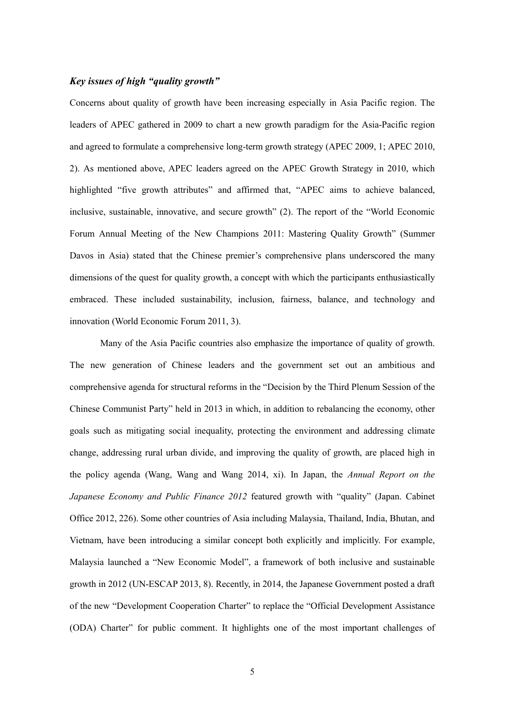## *Key issues of high "quality growth"*

Concerns about quality of growth have been increasing especially in Asia Pacific region. The leaders of APEC gathered in 2009 to chart a new growth paradigm for the Asia-Pacific region and agreed to formulate a comprehensive long-term growth strategy (APEC 2009, 1; APEC 2010, 2). As mentioned above, APEC leaders agreed on the APEC Growth Strategy in 2010, which highlighted "five growth attributes" and affirmed that, "APEC aims to achieve balanced, inclusive, sustainable, innovative, and secure growth" (2). The report of the "World Economic Forum Annual Meeting of the New Champions 2011: Mastering Quality Growth" (Summer Davos in Asia) stated that the Chinese premier's comprehensive plans underscored the many dimensions of the quest for quality growth, a concept with which the participants enthusiastically embraced. These included sustainability, inclusion, fairness, balance, and technology and innovation (World Economic Forum 2011, 3).

Many of the Asia Pacific countries also emphasize the importance of quality of growth. The new generation of Chinese leaders and the government set out an ambitious and comprehensive agenda for structural reforms in the "Decision by the Third Plenum Session of the Chinese Communist Party" held in 2013 in which, in addition to rebalancing the economy, other goals such as mitigating social inequality, protecting the environment and addressing climate change, addressing rural urban divide, and improving the quality of growth, are placed high in the policy agenda (Wang, Wang and Wang 2014, xi). In Japan, the *Annual Report on the Japanese Economy and Public Finance 2012* featured growth with "quality" (Japan. Cabinet Office 2012, 226). Some other countries of Asia including Malaysia, Thailand, India, Bhutan, and Vietnam, have been introducing a similar concept both explicitly and implicitly. For example, Malaysia launched a "New Economic Model", a framework of both inclusive and sustainable growth in 2012 (UN-ESCAP 2013, 8). Recently, in 2014, the Japanese Government posted a draft of the new "Development Cooperation Charter" to replace the "Official Development Assistance (ODA) Charter" for public comment. It highlights one of the most important challenges of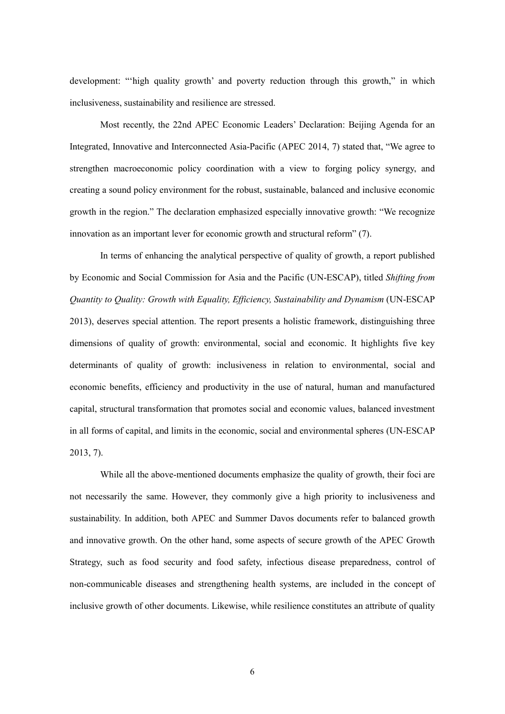development: "'high quality growth' and poverty reduction through this growth," in which inclusiveness, sustainability and resilience are stressed.

Most recently, the 22nd APEC Economic Leaders' Declaration: Beijing Agenda for an Integrated, Innovative and Interconnected Asia-Pacific (APEC 2014, 7) stated that, "We agree to strengthen macroeconomic policy coordination with a view to forging policy synergy, and creating a sound policy environment for the robust, sustainable, balanced and inclusive economic growth in the region." The declaration emphasized especially innovative growth: "We recognize innovation as an important lever for economic growth and structural reform" (7).

In terms of enhancing the analytical perspective of quality of growth, a report published by Economic and Social Commission for Asia and the Pacific (UN-ESCAP), titled *Shifting from Quantity to Quality: Growth with Equality, Efficiency, Sustainability and Dynamism* (UN-ESCAP 2013), deserves special attention. The report presents a holistic framework, distinguishing three dimensions of quality of growth: environmental, social and economic. It highlights five key determinants of quality of growth: inclusiveness in relation to environmental, social and economic benefits, efficiency and productivity in the use of natural, human and manufactured capital, structural transformation that promotes social and economic values, balanced investment in all forms of capital, and limits in the economic, social and environmental spheres (UN-ESCAP 2013, 7).

While all the above-mentioned documents emphasize the quality of growth, their foci are not necessarily the same. However, they commonly give a high priority to inclusiveness and sustainability. In addition, both APEC and Summer Davos documents refer to balanced growth and innovative growth. On the other hand, some aspects of secure growth of the APEC Growth Strategy, such as food security and food safety, infectious disease preparedness, control of non-communicable diseases and strengthening health systems, are included in the concept of inclusive growth of other documents. Likewise, while resilience constitutes an attribute of quality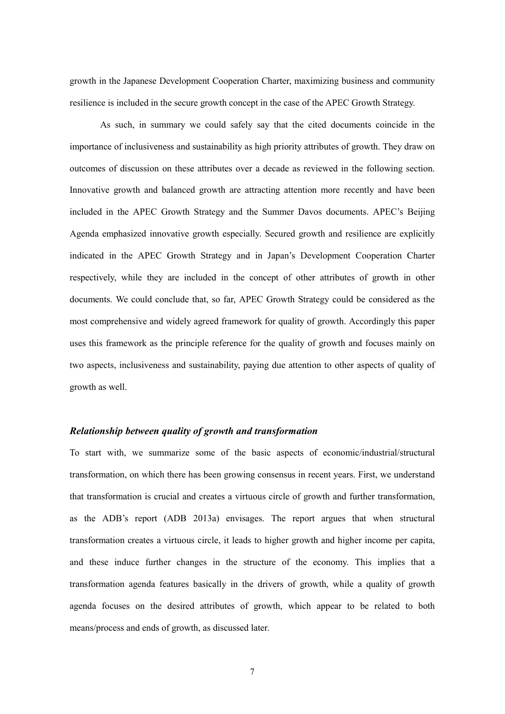growth in the Japanese Development Cooperation Charter, maximizing business and community resilience is included in the secure growth concept in the case of the APEC Growth Strategy.

As such, in summary we could safely say that the cited documents coincide in the importance of inclusiveness and sustainability as high priority attributes of growth. They draw on outcomes of discussion on these attributes over a decade as reviewed in the following section. Innovative growth and balanced growth are attracting attention more recently and have been included in the APEC Growth Strategy and the Summer Davos documents. APEC's Beijing Agenda emphasized innovative growth especially. Secured growth and resilience are explicitly indicated in the APEC Growth Strategy and in Japan's Development Cooperation Charter respectively, while they are included in the concept of other attributes of growth in other documents. We could conclude that, so far, APEC Growth Strategy could be considered as the most comprehensive and widely agreed framework for quality of growth. Accordingly this paper uses this framework as the principle reference for the quality of growth and focuses mainly on two aspects, inclusiveness and sustainability, paying due attention to other aspects of quality of growth as well.

#### *Relationship between quality of growth and transformation*

To start with, we summarize some of the basic aspects of economic/industrial/structural transformation, on which there has been growing consensus in recent years. First, we understand that transformation is crucial and creates a virtuous circle of growth and further transformation, as the ADB's report (ADB 2013a) envisages. The report argues that when structural transformation creates a virtuous circle, it leads to higher growth and higher income per capita, and these induce further changes in the structure of the economy. This implies that a transformation agenda features basically in the drivers of growth, while a quality of growth agenda focuses on the desired attributes of growth, which appear to be related to both means/process and ends of growth, as discussed later.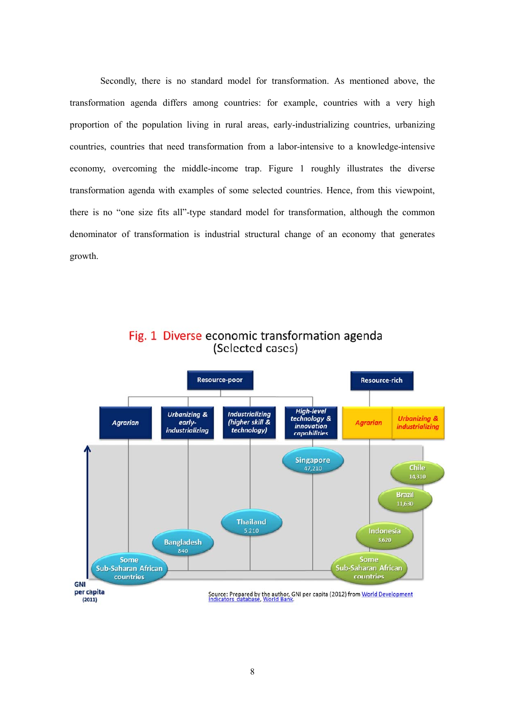Secondly, there is no standard model for transformation. As mentioned above, the transformation agenda differs among countries: for example, countries with a very high proportion of the population living in rural areas, early-industrializing countries, urbanizing countries, countries that need transformation from a labor-intensive to a knowledge-intensive economy, overcoming the middle-income trap. Figure 1 roughly illustrates the diverse transformation agenda with examples of some selected countries. Hence, from this viewpoint, there is no "one size fits all"-type standard model for transformation, although the common denominator of transformation is industrial structural change of an economy that generates growth.



Fig. 1 Diverse economic transformation agenda (Selected cases)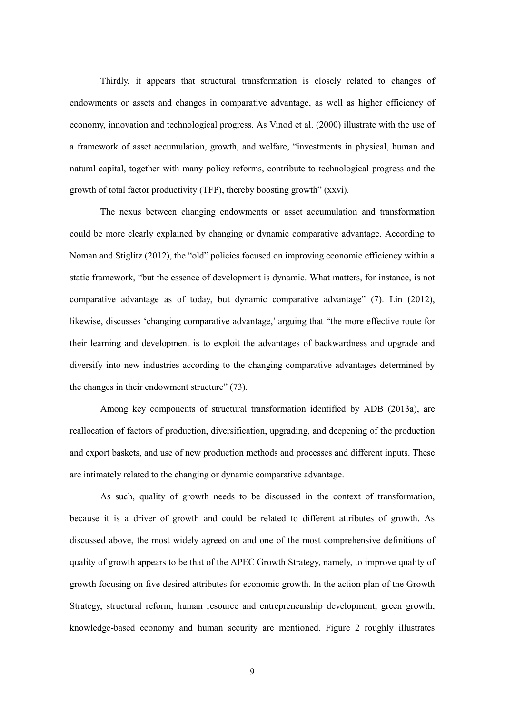Thirdly, it appears that structural transformation is closely related to changes of endowments or assets and changes in comparative advantage, as well as higher efficiency of economy, innovation and technological progress. As Vinod et al. (2000) illustrate with the use of a framework of asset accumulation, growth, and welfare, "investments in physical, human and natural capital, together with many policy reforms, contribute to technological progress and the growth of total factor productivity (TFP), thereby boosting growth" (xxvi).

The nexus between changing endowments or asset accumulation and transformation could be more clearly explained by changing or dynamic comparative advantage. According to Noman and Stiglitz (2012), the "old" policies focused on improving economic efficiency within a static framework, "but the essence of development is dynamic. What matters, for instance, is not comparative advantage as of today, but dynamic comparative advantage" (7). Lin (2012), likewise, discusses 'changing comparative advantage,' arguing that "the more effective route for their learning and development is to exploit the advantages of backwardness and upgrade and diversify into new industries according to the changing comparative advantages determined by the changes in their endowment structure" (73).

Among key components of structural transformation identified by ADB (2013a), are reallocation of factors of production, diversification, upgrading, and deepening of the production and export baskets, and use of new production methods and processes and different inputs. These are intimately related to the changing or dynamic comparative advantage.

As such, quality of growth needs to be discussed in the context of transformation, because it is a driver of growth and could be related to different attributes of growth. As discussed above, the most widely agreed on and one of the most comprehensive definitions of quality of growth appears to be that of the APEC Growth Strategy, namely, to improve quality of growth focusing on five desired attributes for economic growth. In the action plan of the Growth Strategy, structural reform, human resource and entrepreneurship development, green growth, knowledge-based economy and human security are mentioned. Figure 2 roughly illustrates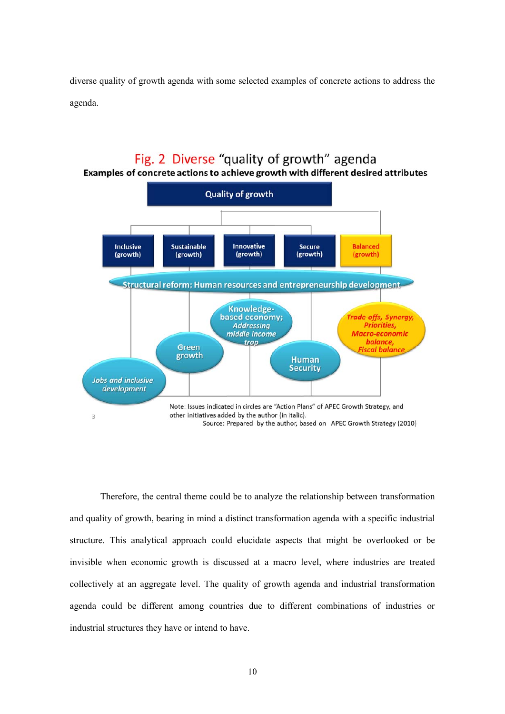diverse quality of growth agenda with some selected examples of concrete actions to address the agenda.

#### Fig. 2 Diverse "quality of growth" agenda Examples of concrete actions to achieve growth with different desired attributes **Quality of growth** Sustainable Innovative **Balanced** Inclusive **Secure** (growth) (growth) (growth) (growth) (growth) Structural reform; Human resources and entrepreneurship development Knowledgebased economy; Trade-offs, Synergy, **Addressing Priorities, Macro-economic** middle income balance **trap** Green iscal balance growth **Human Security Jobs and inclusive** development Note: Issues indicated in circles are "Action Plans" of APEC Growth Strategy, and other initiatives added by the author (in italic). 3 Source: Prepared by the author, based on APEC Growth Strategy (2010)

Therefore, the central theme could be to analyze the relationship between transformation and quality of growth, bearing in mind a distinct transformation agenda with a specific industrial structure. This analytical approach could elucidate aspects that might be overlooked or be invisible when economic growth is discussed at a macro level, where industries are treated collectively at an aggregate level. The quality of growth agenda and industrial transformation agenda could be different among countries due to different combinations of industries or industrial structures they have or intend to have.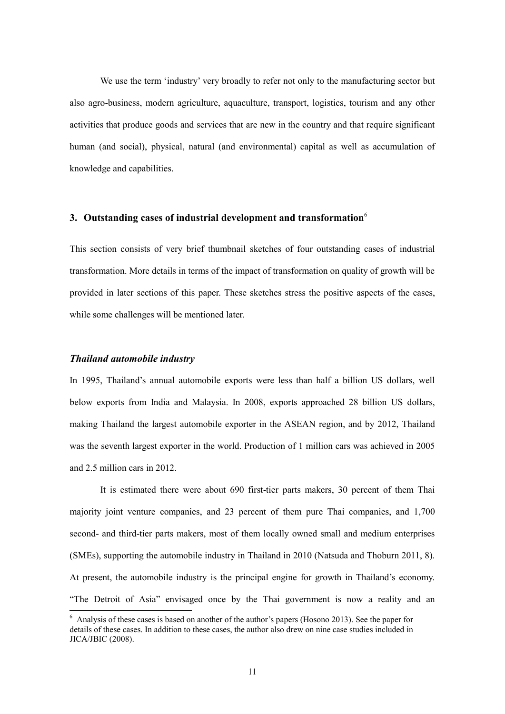We use the term 'industry' very broadly to refer not only to the manufacturing sector but also agro-business, modern agriculture, aquaculture, transport, logistics, tourism and any other activities that produce goods and services that are new in the country and that require significant human (and social), physical, natural (and environmental) capital as well as accumulation of knowledge and capabilities.

## **3. Outstanding cases of industrial development and transformation**<sup>6</sup>

This section consists of very brief thumbnail sketches of four outstanding cases of industrial transformation. More details in terms of the impact of transformation on quality of growth will be provided in later sections of this paper. These sketches stress the positive aspects of the cases, while some challenges will be mentioned later.

## *Thailand automobile industry*

l

In 1995, Thailand's annual automobile exports were less than half a billion US dollars, well below exports from India and Malaysia. In 2008, exports approached 28 billion US dollars, making Thailand the largest automobile exporter in the ASEAN region, and by 2012, Thailand was the seventh largest exporter in the world. Production of 1 million cars was achieved in 2005 and 2.5 million cars in 2012.

It is estimated there were about 690 first-tier parts makers, 30 percent of them Thai majority joint venture companies, and 23 percent of them pure Thai companies, and 1,700 second- and third-tier parts makers, most of them locally owned small and medium enterprises (SMEs), supporting the automobile industry in Thailand in 2010 (Natsuda and Thoburn 2011, 8). At present, the automobile industry is the principal engine for growth in Thailand's economy. "The Detroit of Asia" envisaged once by the Thai government is now a reality and an

<sup>&</sup>lt;sup>6</sup> Analysis of these cases is based on another of the author's papers (Hosono 2013). See the paper for details of these cases. In addition to these cases, the author also drew on nine case studies included in JICA/JBIC (2008).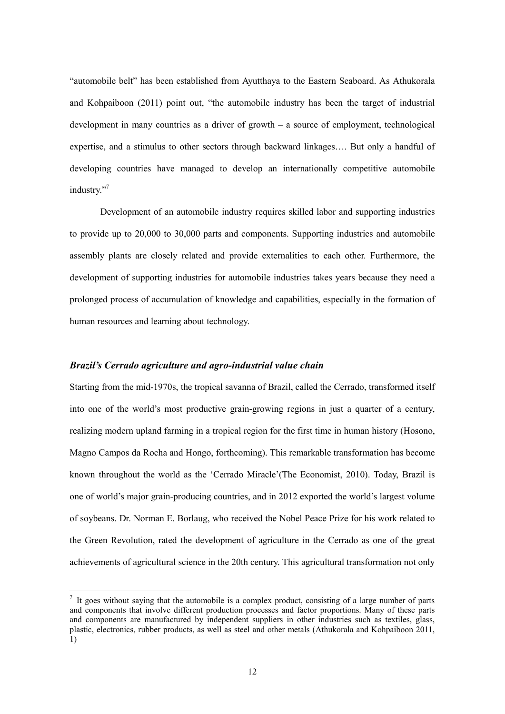"automobile belt" has been established from Ayutthaya to the Eastern Seaboard. As Athukorala and Kohpaiboon (2011) point out, "the automobile industry has been the target of industrial development in many countries as a driver of growth – a source of employment, technological expertise, and a stimulus to other sectors through backward linkages…. But only a handful of developing countries have managed to develop an internationally competitive automobile industry."<sup>7</sup>

Development of an automobile industry requires skilled labor and supporting industries to provide up to 20,000 to 30,000 parts and components. Supporting industries and automobile assembly plants are closely related and provide externalities to each other. Furthermore, the development of supporting industries for automobile industries takes years because they need a prolonged process of accumulation of knowledge and capabilities, especially in the formation of human resources and learning about technology.

## *Brazil's Cerrado agriculture and agro-industrial value chain*

 $\overline{a}$ 

Starting from the mid-1970s, the tropical savanna of Brazil, called the Cerrado, transformed itself into one of the world's most productive grain-growing regions in just a quarter of a century, realizing modern upland farming in a tropical region for the first time in human history (Hosono, Magno Campos da Rocha and Hongo, forthcoming). This remarkable transformation has become known throughout the world as the 'Cerrado Miracle'(The Economist, 2010). Today, Brazil is one of world's major grain-producing countries, and in 2012 exported the world's largest volume of soybeans. Dr. Norman E. Borlaug, who received the Nobel Peace Prize for his work related to the Green Revolution, rated the development of agriculture in the Cerrado as one of the great achievements of agricultural science in the 20th century. This agricultural transformation not only

 $<sup>7</sup>$  It goes without saying that the automobile is a complex product, consisting of a large number of parts</sup> and components that involve different production processes and factor proportions. Many of these parts and components are manufactured by independent suppliers in other industries such as textiles, glass, plastic, electronics, rubber products, as well as steel and other metals (Athukorala and Kohpaiboon 2011, 1)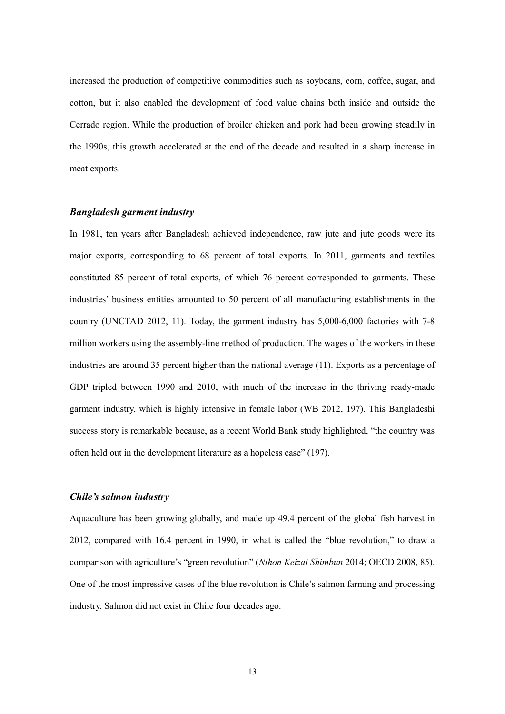increased the production of competitive commodities such as soybeans, corn, coffee, sugar, and cotton, but it also enabled the development of food value chains both inside and outside the Cerrado region. While the production of broiler chicken and pork had been growing steadily in the 1990s, this growth accelerated at the end of the decade and resulted in a sharp increase in meat exports.

## *Bangladesh garment industry*

In 1981, ten years after Bangladesh achieved independence, raw jute and jute goods were its major exports, corresponding to 68 percent of total exports. In 2011, garments and textiles constituted 85 percent of total exports, of which 76 percent corresponded to garments. These industries' business entities amounted to 50 percent of all manufacturing establishments in the country (UNCTAD 2012, 11). Today, the garment industry has 5,000-6,000 factories with 7-8 million workers using the assembly-line method of production. The wages of the workers in these industries are around 35 percent higher than the national average (11). Exports as a percentage of GDP tripled between 1990 and 2010, with much of the increase in the thriving ready-made garment industry, which is highly intensive in female labor (WB 2012, 197). This Bangladeshi success story is remarkable because, as a recent World Bank study highlighted, "the country was often held out in the development literature as a hopeless case" (197).

## *Chile's salmon industry*

Aquaculture has been growing globally, and made up 49.4 percent of the global fish harvest in 2012, compared with 16.4 percent in 1990, in what is called the "blue revolution," to draw a comparison with agriculture's "green revolution" (*Nihon Keizai Shimbun* 2014; OECD 2008, 85). One of the most impressive cases of the blue revolution is Chile's salmon farming and processing industry. Salmon did not exist in Chile four decades ago.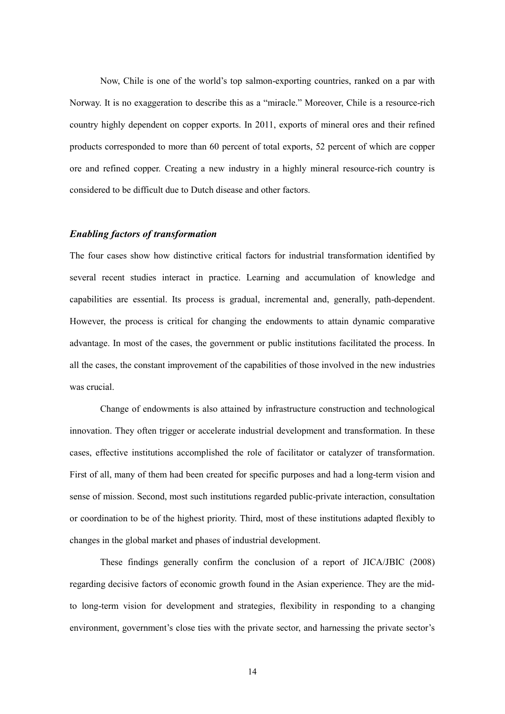Now, Chile is one of the world's top salmon-exporting countries, ranked on a par with Norway. It is no exaggeration to describe this as a "miracle." Moreover, Chile is a resource-rich country highly dependent on copper exports. In 2011, exports of mineral ores and their refined products corresponded to more than 60 percent of total exports, 52 percent of which are copper ore and refined copper. Creating a new industry in a highly mineral resource-rich country is considered to be difficult due to Dutch disease and other factors.

#### *Enabling factors of transformation*

The four cases show how distinctive critical factors for industrial transformation identified by several recent studies interact in practice. Learning and accumulation of knowledge and capabilities are essential. Its process is gradual, incremental and, generally, path-dependent. However, the process is critical for changing the endowments to attain dynamic comparative advantage. In most of the cases, the government or public institutions facilitated the process. In all the cases, the constant improvement of the capabilities of those involved in the new industries was crucial.

Change of endowments is also attained by infrastructure construction and technological innovation. They often trigger or accelerate industrial development and transformation. In these cases, effective institutions accomplished the role of facilitator or catalyzer of transformation. First of all, many of them had been created for specific purposes and had a long-term vision and sense of mission. Second, most such institutions regarded public-private interaction, consultation or coordination to be of the highest priority. Third, most of these institutions adapted flexibly to changes in the global market and phases of industrial development.

These findings generally confirm the conclusion of a report of JICA/JBIC (2008) regarding decisive factors of economic growth found in the Asian experience. They are the midto long-term vision for development and strategies, flexibility in responding to a changing environment, government's close ties with the private sector, and harnessing the private sector's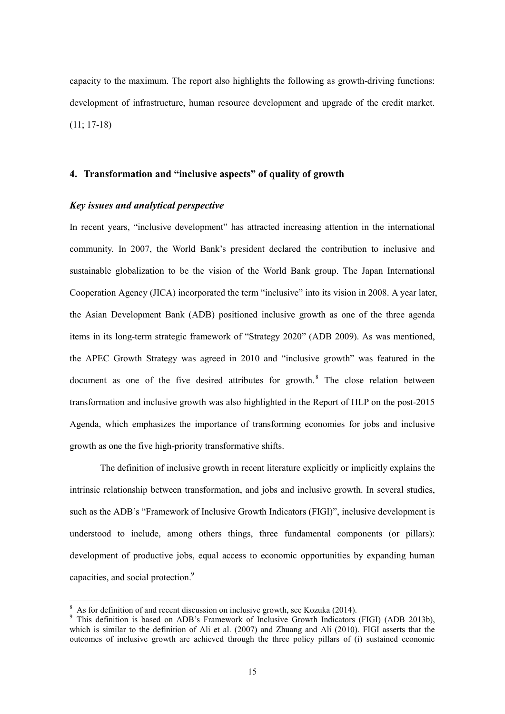capacity to the maximum. The report also highlights the following as growth-driving functions: development of infrastructure, human resource development and upgrade of the credit market. (11; 17-18)

## **4. Transformation and "inclusive aspects" of quality of growth**

## *Key issues and analytical perspective*

In recent years, "inclusive development" has attracted increasing attention in the international community. In 2007, the World Bank's president declared the contribution to inclusive and sustainable globalization to be the vision of the World Bank group. The Japan International Cooperation Agency (JICA) incorporated the term "inclusive" into its vision in 2008. A year later, the Asian Development Bank (ADB) positioned inclusive growth as one of the three agenda items in its long-term strategic framework of "Strategy 2020" (ADB 2009). As was mentioned, the APEC Growth Strategy was agreed in 2010 and "inclusive growth" was featured in the document as one of the five desired attributes for growth.<sup>8</sup> The close relation between transformation and inclusive growth was also highlighted in the Report of HLP on the post-2015 Agenda, which emphasizes the importance of transforming economies for jobs and inclusive growth as one the five high-priority transformative shifts.

The definition of inclusive growth in recent literature explicitly or implicitly explains the intrinsic relationship between transformation, and jobs and inclusive growth. In several studies, such as the ADB's "Framework of Inclusive Growth Indicators (FIGI)", inclusive development is understood to include, among others things, three fundamental components (or pillars): development of productive jobs, equal access to economic opportunities by expanding human capacities, and social protection.<sup>9</sup>

<sup>&</sup>lt;sup>8</sup> As for definition of and recent discussion on inclusive growth, see Kozuka (2014).

<sup>&</sup>lt;sup>9</sup> This definition is based on ADB's Framework of Inclusive Growth Indicators (FIGI) (ADB 2013b), which is similar to the definition of Ali et al. (2007) and Zhuang and Ali (2010). FIGI asserts that the outcomes of inclusive growth are achieved through the three policy pillars of (i) sustained economic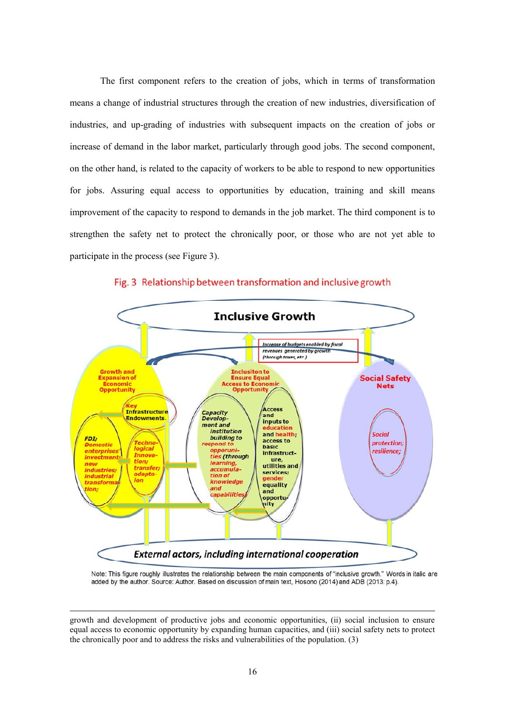The first component refers to the creation of jobs, which in terms of transformation means a change of industrial structures through the creation of new industries, diversification of industries, and up-grading of industries with subsequent impacts on the creation of jobs or increase of demand in the labor market, particularly through good jobs. The second component, on the other hand, is related to the capacity of workers to be able to respond to new opportunities for jobs. Assuring equal access to opportunities by education, training and skill means improvement of the capacity to respond to demands in the job market. The third component is to strengthen the safety net to protect the chronically poor, or those who are not yet able to participate in the process (see Figure 3).



## Fig. 3 Relationship between transformation and inclusive growth

Note: This figure roughly illustrates the relationship between the main components of "inclusive growth." Words in italic are added by the author. Source: Author. Based on discussion of main text, Hosono (2014) and ADB (2013: p.4).

 $\overline{a}$ 

growth and development of productive jobs and economic opportunities, (ii) social inclusion to ensure equal access to economic opportunity by expanding human capacities, and (iii) social safety nets to protect the chronically poor and to address the risks and vulnerabilities of the population. (3)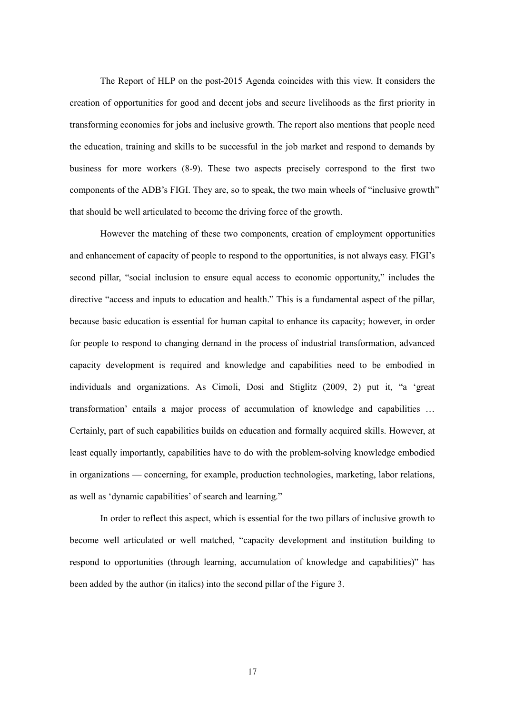The Report of HLP on the post-2015 Agenda coincides with this view. It considers the creation of opportunities for good and decent jobs and secure livelihoods as the first priority in transforming economies for jobs and inclusive growth. The report also mentions that people need the education, training and skills to be successful in the job market and respond to demands by business for more workers (8-9). These two aspects precisely correspond to the first two components of the ADB's FIGI. They are, so to speak, the two main wheels of "inclusive growth" that should be well articulated to become the driving force of the growth.

However the matching of these two components, creation of employment opportunities and enhancement of capacity of people to respond to the opportunities, is not always easy. FIGI's second pillar, "social inclusion to ensure equal access to economic opportunity," includes the directive "access and inputs to education and health." This is a fundamental aspect of the pillar, because basic education is essential for human capital to enhance its capacity; however, in order for people to respond to changing demand in the process of industrial transformation, advanced capacity development is required and knowledge and capabilities need to be embodied in individuals and organizations. As Cimoli, Dosi and Stiglitz (2009, 2) put it, "a 'great transformation' entails a major process of accumulation of knowledge and capabilities … Certainly, part of such capabilities builds on education and formally acquired skills. However, at least equally importantly, capabilities have to do with the problem-solving knowledge embodied in organizations — concerning, for example, production technologies, marketing, labor relations, as well as 'dynamic capabilities' of search and learning."

In order to reflect this aspect, which is essential for the two pillars of inclusive growth to become well articulated or well matched, "capacity development and institution building to respond to opportunities (through learning, accumulation of knowledge and capabilities)" has been added by the author (in italics) into the second pillar of the Figure 3.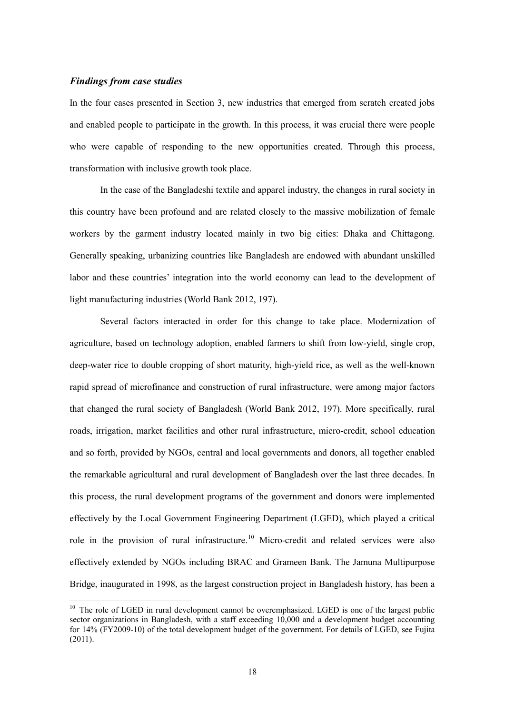#### *Findings from case studies*

 $\overline{a}$ 

In the four cases presented in Section 3, new industries that emerged from scratch created jobs and enabled people to participate in the growth. In this process, it was crucial there were people who were capable of responding to the new opportunities created. Through this process, transformation with inclusive growth took place.

In the case of the Bangladeshi textile and apparel industry, the changes in rural society in this country have been profound and are related closely to the massive mobilization of female workers by the garment industry located mainly in two big cities: Dhaka and Chittagong. Generally speaking, urbanizing countries like Bangladesh are endowed with abundant unskilled labor and these countries' integration into the world economy can lead to the development of light manufacturing industries (World Bank 2012, 197).

Several factors interacted in order for this change to take place. Modernization of agriculture, based on technology adoption, enabled farmers to shift from low-yield, single crop, deep-water rice to double cropping of short maturity, high-yield rice, as well as the well-known rapid spread of microfinance and construction of rural infrastructure, were among major factors that changed the rural society of Bangladesh (World Bank 2012, 197). More specifically, rural roads, irrigation, market facilities and other rural infrastructure, micro-credit, school education and so forth, provided by NGOs, central and local governments and donors, all together enabled the remarkable agricultural and rural development of Bangladesh over the last three decades. In this process, the rural development programs of the government and donors were implemented effectively by the Local Government Engineering Department (LGED), which played a critical role in the provision of rural infrastructure.<sup>10</sup> Micro-credit and related services were also effectively extended by NGOs including BRAC and Grameen Bank. The Jamuna Multipurpose Bridge, inaugurated in 1998, as the largest construction project in Bangladesh history, has been a

 $10$  The role of LGED in rural development cannot be overemphasized. LGED is one of the largest public sector organizations in Bangladesh, with a staff exceeding 10,000 and a development budget accounting for 14% (FY2009-10) of the total development budget of the government. For details of LGED, see Fujita (2011).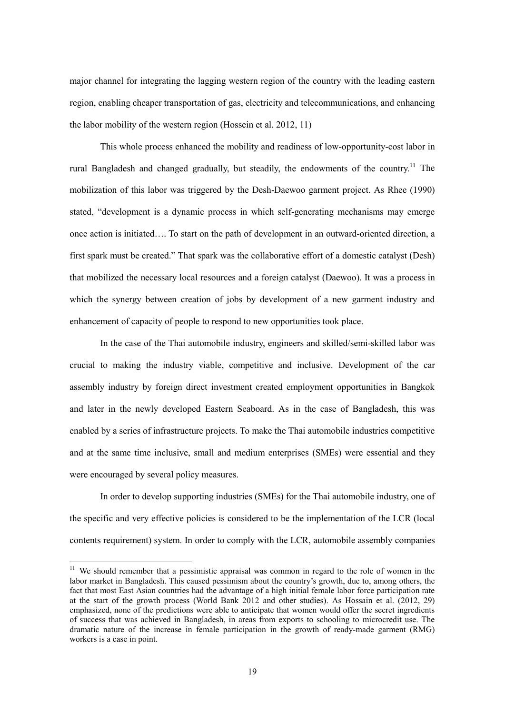major channel for integrating the lagging western region of the country with the leading eastern region, enabling cheaper transportation of gas, electricity and telecommunications, and enhancing the labor mobility of the western region (Hossein et al. 2012, 11)

This whole process enhanced the mobility and readiness of low-opportunity-cost labor in rural Bangladesh and changed gradually, but steadily, the endowments of the country.<sup>11</sup> The mobilization of this labor was triggered by the Desh-Daewoo garment project. As Rhee (1990) stated, "development is a dynamic process in which self-generating mechanisms may emerge once action is initiated…. To start on the path of development in an outward-oriented direction, a first spark must be created." That spark was the collaborative effort of a domestic catalyst (Desh) that mobilized the necessary local resources and a foreign catalyst (Daewoo). It was a process in which the synergy between creation of jobs by development of a new garment industry and enhancement of capacity of people to respond to new opportunities took place.

In the case of the Thai automobile industry, engineers and skilled/semi-skilled labor was crucial to making the industry viable, competitive and inclusive. Development of the car assembly industry by foreign direct investment created employment opportunities in Bangkok and later in the newly developed Eastern Seaboard. As in the case of Bangladesh, this was enabled by a series of infrastructure projects. To make the Thai automobile industries competitive and at the same time inclusive, small and medium enterprises (SMEs) were essential and they were encouraged by several policy measures.

In order to develop supporting industries (SMEs) for the Thai automobile industry, one of the specific and very effective policies is considered to be the implementation of the LCR (local contents requirement) system. In order to comply with the LCR, automobile assembly companies

 $\overline{a}$ 

 $11$  We should remember that a pessimistic appraisal was common in regard to the role of women in the labor market in Bangladesh. This caused pessimism about the country's growth, due to, among others, the fact that most East Asian countries had the advantage of a high initial female labor force participation rate at the start of the growth process (World Bank 2012 and other studies). As Hossain et al. (2012, 29) emphasized, none of the predictions were able to anticipate that women would offer the secret ingredients of success that was achieved in Bangladesh, in areas from exports to schooling to microcredit use. The dramatic nature of the increase in female participation in the growth of ready-made garment (RMG) workers is a case in point.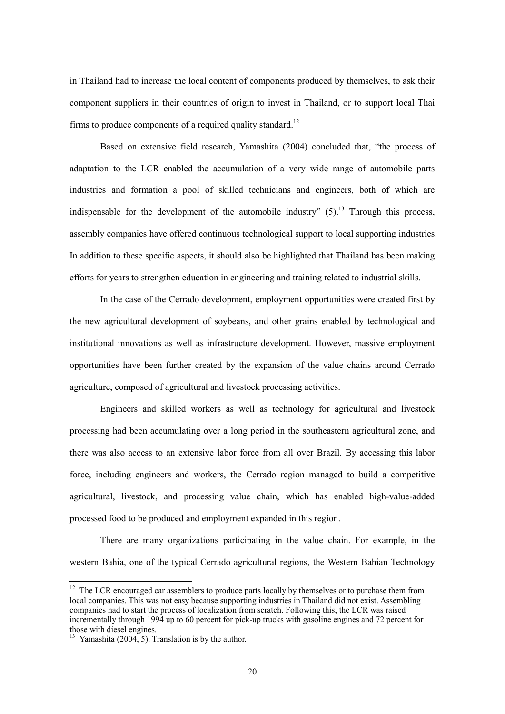in Thailand had to increase the local content of components produced by themselves, to ask their component suppliers in their countries of origin to invest in Thailand, or to support local Thai firms to produce components of a required quality standard.<sup>12</sup>

Based on extensive field research, Yamashita (2004) concluded that, "the process of adaptation to the LCR enabled the accumulation of a very wide range of automobile parts industries and formation a pool of skilled technicians and engineers, both of which are indispensable for the development of the automobile industry"  $(5)$ .<sup>13</sup> Through this process, assembly companies have offered continuous technological support to local supporting industries. In addition to these specific aspects, it should also be highlighted that Thailand has been making efforts for years to strengthen education in engineering and training related to industrial skills.

In the case of the Cerrado development, employment opportunities were created first by the new agricultural development of soybeans, and other grains enabled by technological and institutional innovations as well as infrastructure development. However, massive employment opportunities have been further created by the expansion of the value chains around Cerrado agriculture, composed of agricultural and livestock processing activities.

Engineers and skilled workers as well as technology for agricultural and livestock processing had been accumulating over a long period in the southeastern agricultural zone, and there was also access to an extensive labor force from all over Brazil. By accessing this labor force, including engineers and workers, the Cerrado region managed to build a competitive agricultural, livestock, and processing value chain, which has enabled high-value-added processed food to be produced and employment expanded in this region.

There are many organizations participating in the value chain. For example, in the western Bahia, one of the typical Cerrado agricultural regions, the Western Bahian Technology

 $\overline{a}$ 

 $12$  The LCR encouraged car assemblers to produce parts locally by themselves or to purchase them from local companies. This was not easy because supporting industries in Thailand did not exist. Assembling companies had to start the process of localization from scratch. Following this, the LCR was raised incrementally through 1994 up to 60 percent for pick-up trucks with gasoline engines and 72 percent for those with diesel engines.

<sup>&</sup>lt;sup>13</sup> Yamashita (2004, 5). Translation is by the author.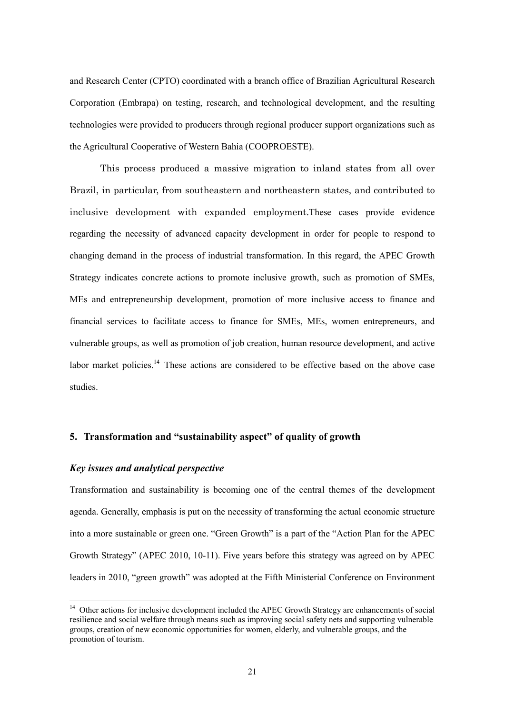and Research Center (CPTO) coordinated with a branch office of Brazilian Agricultural Research Corporation (Embrapa) on testing, research, and technological development, and the resulting technologies were provided to producers through regional producer support organizations such as the Agricultural Cooperative of Western Bahia (COOPROESTE).

This process produced a massive migration to inland states from all over Brazil, in particular, from southeastern and northeastern states, and contributed to inclusive development with expanded employment.These cases provide evidence regarding the necessity of advanced capacity development in order for people to respond to changing demand in the process of industrial transformation. In this regard, the APEC Growth Strategy indicates concrete actions to promote inclusive growth, such as promotion of SMEs, MEs and entrepreneurship development, promotion of more inclusive access to finance and financial services to facilitate access to finance for SMEs, MEs, women entrepreneurs, and vulnerable groups, as well as promotion of job creation, human resource development, and active labor market policies.<sup>14</sup> These actions are considered to be effective based on the above case studies.

## **5. Transformation and "sustainability aspect" of quality of growth**

### *Key issues and analytical perspective*

 $\overline{a}$ 

Transformation and sustainability is becoming one of the central themes of the development agenda. Generally, emphasis is put on the necessity of transforming the actual economic structure into a more sustainable or green one. "Green Growth" is a part of the "Action Plan for the APEC Growth Strategy" (APEC 2010, 10-11). Five years before this strategy was agreed on by APEC leaders in 2010, "green growth" was adopted at the Fifth Ministerial Conference on Environment

<sup>&</sup>lt;sup>14</sup> Other actions for inclusive development included the APEC Growth Strategy are enhancements of social resilience and social welfare through means such as improving social safety nets and supporting vulnerable groups, creation of new economic opportunities for women, elderly, and vulnerable groups, and the promotion of tourism.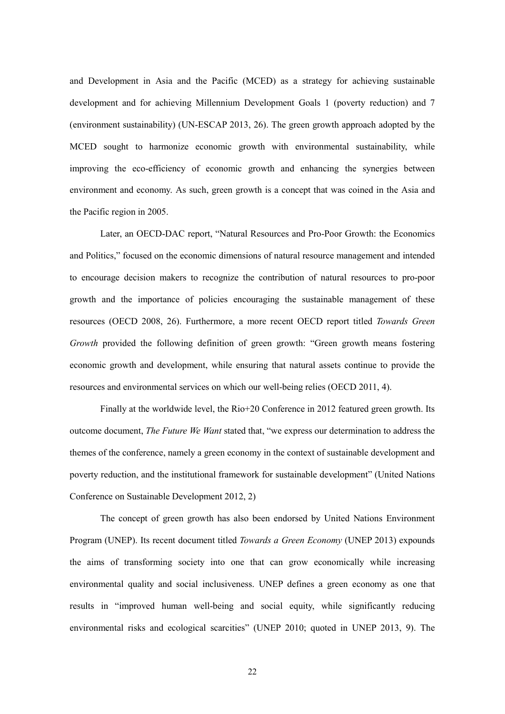and Development in Asia and the Pacific (MCED) as a strategy for achieving sustainable development and for achieving Millennium Development Goals 1 (poverty reduction) and 7 (environment sustainability) (UN-ESCAP 2013, 26). The green growth approach adopted by the MCED sought to harmonize economic growth with environmental sustainability, while improving the eco-efficiency of economic growth and enhancing the synergies between environment and economy. As such, green growth is a concept that was coined in the Asia and the Pacific region in 2005.

Later, an OECD-DAC report, "Natural Resources and Pro-Poor Growth: the Economics and Politics," focused on the economic dimensions of natural resource management and intended to encourage decision makers to recognize the contribution of natural resources to pro-poor growth and the importance of policies encouraging the sustainable management of these resources (OECD 2008, 26). Furthermore, a more recent OECD report titled *Towards Green Growth* provided the following definition of green growth: "Green growth means fostering economic growth and development, while ensuring that natural assets continue to provide the resources and environmental services on which our well-being relies (OECD 2011, 4).

Finally at the worldwide level, the Rio+20 Conference in 2012 featured green growth. Its outcome document, *The Future We Want* stated that, "we express our determination to address the themes of the conference, namely a green economy in the context of sustainable development and poverty reduction, and the institutional framework for sustainable development" (United Nations Conference on Sustainable Development 2012, 2)

The concept of green growth has also been endorsed by United Nations Environment Program (UNEP). Its recent document titled *Towards a Green Economy* (UNEP 2013) expounds the aims of transforming society into one that can grow economically while increasing environmental quality and social inclusiveness. UNEP defines a green economy as one that results in "improved human well-being and social equity, while significantly reducing environmental risks and ecological scarcities" (UNEP 2010; quoted in UNEP 2013, 9). The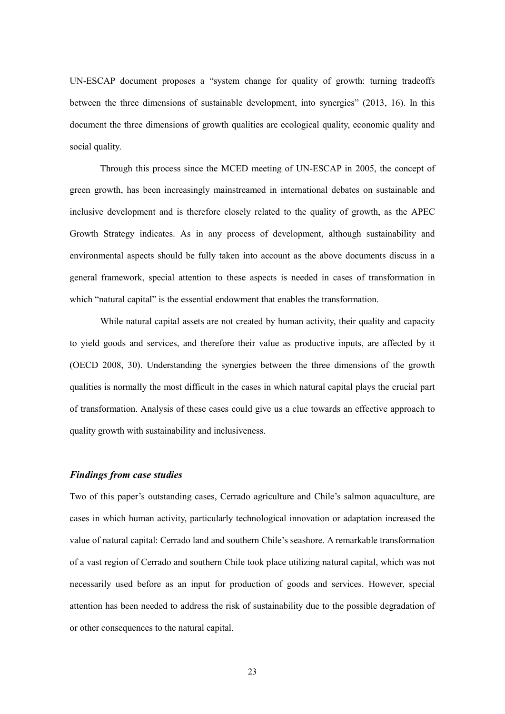UN-ESCAP document proposes a "system change for quality of growth: turning tradeoffs between the three dimensions of sustainable development, into synergies" (2013, 16). In this document the three dimensions of growth qualities are ecological quality, economic quality and social quality.

Through this process since the MCED meeting of UN-ESCAP in 2005, the concept of green growth, has been increasingly mainstreamed in international debates on sustainable and inclusive development and is therefore closely related to the quality of growth, as the APEC Growth Strategy indicates. As in any process of development, although sustainability and environmental aspects should be fully taken into account as the above documents discuss in a general framework, special attention to these aspects is needed in cases of transformation in which "natural capital" is the essential endowment that enables the transformation.

While natural capital assets are not created by human activity, their quality and capacity to yield goods and services, and therefore their value as productive inputs, are affected by it (OECD 2008, 30). Understanding the synergies between the three dimensions of the growth qualities is normally the most difficult in the cases in which natural capital plays the crucial part of transformation. Analysis of these cases could give us a clue towards an effective approach to quality growth with sustainability and inclusiveness.

#### *Findings from case studies*

Two of this paper's outstanding cases, Cerrado agriculture and Chile's salmon aquaculture, are cases in which human activity, particularly technological innovation or adaptation increased the value of natural capital: Cerrado land and southern Chile's seashore. A remarkable transformation of a vast region of Cerrado and southern Chile took place utilizing natural capital, which was not necessarily used before as an input for production of goods and services. However, special attention has been needed to address the risk of sustainability due to the possible degradation of or other consequences to the natural capital.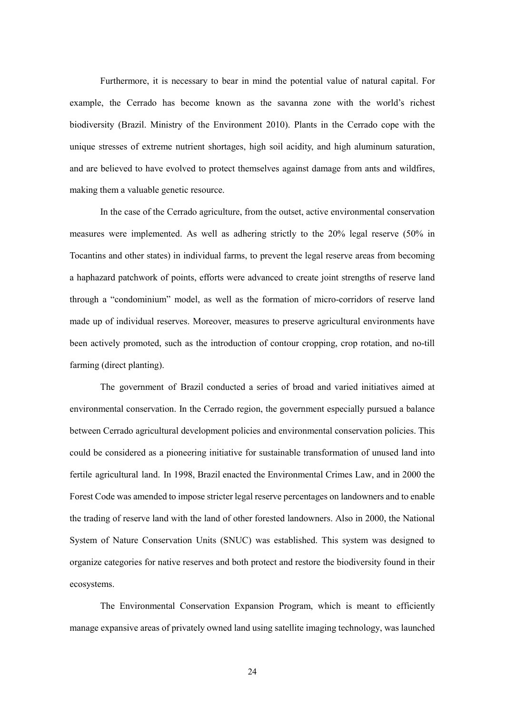Furthermore, it is necessary to bear in mind the potential value of natural capital. For example, the Cerrado has become known as the savanna zone with the world's richest biodiversity (Brazil. Ministry of the Environment 2010). Plants in the Cerrado cope with the unique stresses of extreme nutrient shortages, high soil acidity, and high aluminum saturation, and are believed to have evolved to protect themselves against damage from ants and wildfires, making them a valuable genetic resource.

In the case of the Cerrado agriculture, from the outset, active environmental conservation measures were implemented. As well as adhering strictly to the 20% legal reserve (50% in Tocantins and other states) in individual farms, to prevent the legal reserve areas from becoming a haphazard patchwork of points, efforts were advanced to create joint strengths of reserve land through a "condominium" model, as well as the formation of micro-corridors of reserve land made up of individual reserves. Moreover, measures to preserve agricultural environments have been actively promoted, such as the introduction of contour cropping, crop rotation, and no-till farming (direct planting).

The government of Brazil conducted a series of broad and varied initiatives aimed at environmental conservation. In the Cerrado region, the government especially pursued a balance between Cerrado agricultural development policies and environmental conservation policies. This could be considered as a pioneering initiative for sustainable transformation of unused land into fertile agricultural land. In 1998, Brazil enacted the Environmental Crimes Law, and in 2000 the Forest Code was amended to impose stricter legal reserve percentages on landowners and to enable the trading of reserve land with the land of other forested landowners. Also in 2000, the National System of Nature Conservation Units (SNUC) was established. This system was designed to organize categories for native reserves and both protect and restore the biodiversity found in their ecosystems.

The Environmental Conservation Expansion Program, which is meant to efficiently manage expansive areas of privately owned land using satellite imaging technology, was launched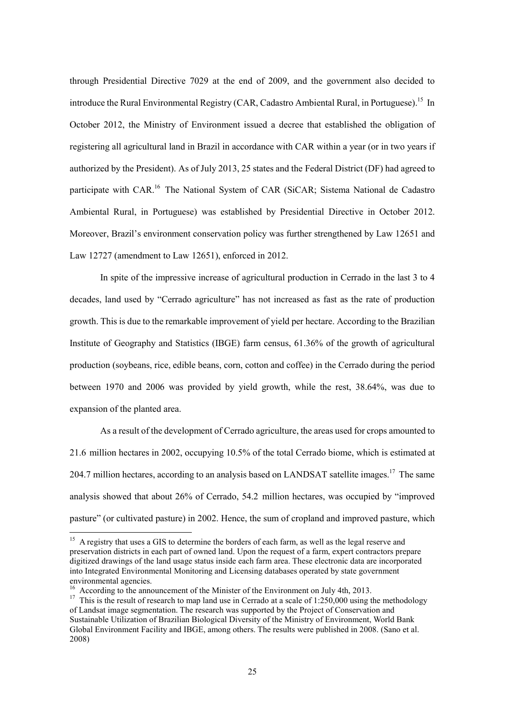through Presidential Directive 7029 at the end of 2009, and the government also decided to introduce the Rural Environmental Registry (CAR, Cadastro Ambiental Rural, in Portuguese).<sup>15</sup> In October 2012, the Ministry of Environment issued a decree that established the obligation of registering all agricultural land in Brazil in accordance with CAR within a year (or in two years if authorized by the President). As of July 2013, 25 states and the Federal District (DF) had agreed to participate with CAR.16 The National System of CAR (SiCAR; Sistema National de Cadastro Ambiental Rural, in Portuguese) was established by Presidential Directive in October 2012. Moreover, Brazil's environment conservation policy was further strengthened by Law 12651 and Law 12727 (amendment to Law 12651), enforced in 2012.

In spite of the impressive increase of agricultural production in Cerrado in the last 3 to 4 decades, land used by "Cerrado agriculture" has not increased as fast as the rate of production growth. This is due to the remarkable improvement of yield per hectare. According to the Brazilian Institute of Geography and Statistics (IBGE) farm census, 61.36% of the growth of agricultural production (soybeans, rice, edible beans, corn, cotton and coffee) in the Cerrado during the period between 1970 and 2006 was provided by yield growth, while the rest, 38.64%, was due to expansion of the planted area.

As a result of the development of Cerrado agriculture, the areas used for crops amounted to 21.6 million hectares in 2002, occupying 10.5% of the total Cerrado biome, which is estimated at 204.7 million hectares, according to an analysis based on LANDSAT satellite images.<sup>17</sup> The same analysis showed that about 26% of Cerrado, 54.2 million hectares, was occupied by "improved pasture" (or cultivated pasture) in 2002. Hence, the sum of cropland and improved pasture, which

 $\overline{a}$ 

<sup>&</sup>lt;sup>15</sup> A registry that uses a GIS to determine the borders of each farm, as well as the legal reserve and preservation districts in each part of owned land. Upon the request of a farm, expert contractors prepare digitized drawings of the land usage status inside each farm area. These electronic data are incorporated into Integrated Environmental Monitoring and Licensing databases operated by state government environmental agencies.

<sup>&</sup>lt;sup>16</sup> According to the announcement of the Minister of the Environment on July 4th, 2013.

<sup>&</sup>lt;sup>17</sup> This is the result of research to map land use in Cerrado at a scale of 1:250,000 using the methodology of Landsat image segmentation. The research was supported by the Project of Conservation and Sustainable Utilization of Brazilian Biological Diversity of the Ministry of Environment, World Bank Global Environment Facility and IBGE, among others. The results were published in 2008. (Sano et al. 2008)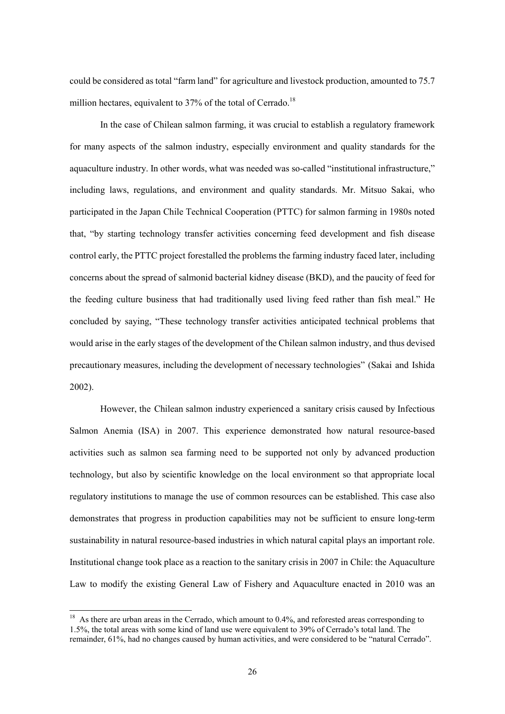could be considered as total "farm land" for agriculture and livestock production, amounted to 75.7 million hectares, equivalent to  $37\%$  of the total of Cerrado.<sup>18</sup>

In the case of Chilean salmon farming, it was crucial to establish a regulatory framework for many aspects of the salmon industry, especially environment and quality standards for the aquaculture industry. In other words, what was needed was so-called "institutional infrastructure," including laws, regulations, and environment and quality standards. Mr. Mitsuo Sakai, who participated in the Japan Chile Technical Cooperation (PTTC) for salmon farming in 1980s noted that, "by starting technology transfer activities concerning feed development and fish disease control early, the PTTC project forestalled the problems the farming industry faced later, including concerns about the spread of salmonid bacterial kidney disease (BKD), and the paucity of feed for the feeding culture business that had traditionally used living feed rather than fish meal." He concluded by saying, "These technology transfer activities anticipated technical problems that would arise in the early stages of the development of the Chilean salmon industry, and thus devised precautionary measures, including the development of necessary technologies" (Sakai and Ishida 2002).

However, the Chilean salmon industry experienced a sanitary crisis caused by Infectious Salmon Anemia (ISA) in 2007. This experience demonstrated how natural resource-based activities such as salmon sea farming need to be supported not only by advanced production technology, but also by scientific knowledge on the local environment so that appropriate local regulatory institutions to manage the use of common resources can be established. This case also demonstrates that progress in production capabilities may not be sufficient to ensure long-term sustainability in natural resource-based industries in which natural capital plays an important role. Institutional change took place as a reaction to the sanitary crisis in 2007 in Chile: the Aquaculture Law to modify the existing General Law of Fishery and Aquaculture enacted in 2010 was an

l

 $18$  As there are urban areas in the Cerrado, which amount to 0.4%, and reforested areas corresponding to 1.5%, the total areas with some kind of land use were equivalent to 39% of Cerrado's total land. The remainder, 61%, had no changes caused by human activities, and were considered to be "natural Cerrado".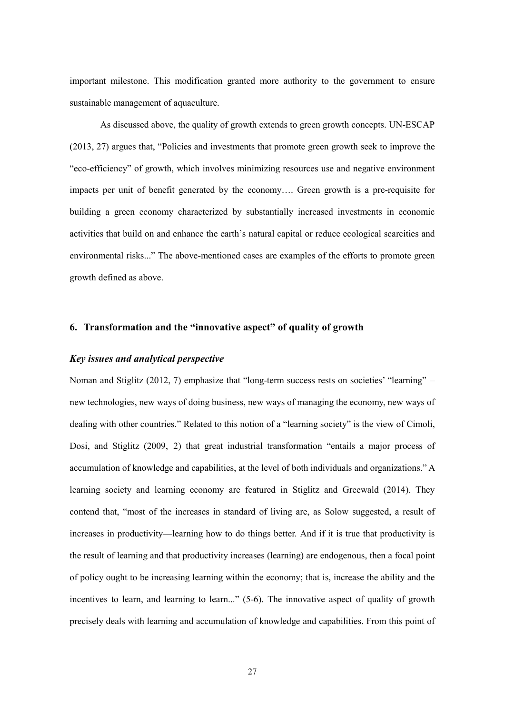important milestone. This modification granted more authority to the government to ensure sustainable management of aquaculture.

As discussed above, the quality of growth extends to green growth concepts. UN-ESCAP (2013, 27) argues that, "Policies and investments that promote green growth seek to improve the "eco-efficiency" of growth, which involves minimizing resources use and negative environment impacts per unit of benefit generated by the economy…. Green growth is a pre-requisite for building a green economy characterized by substantially increased investments in economic activities that build on and enhance the earth's natural capital or reduce ecological scarcities and environmental risks..." The above-mentioned cases are examples of the efforts to promote green growth defined as above.

## **6. Transformation and the "innovative aspect" of quality of growth**

## *Key issues and analytical perspective*

Noman and Stiglitz (2012, 7) emphasize that "long-term success rests on societies' "learning" – new technologies, new ways of doing business, new ways of managing the economy, new ways of dealing with other countries." Related to this notion of a "learning society" is the view of Cimoli, Dosi, and Stiglitz (2009, 2) that great industrial transformation "entails a major process of accumulation of knowledge and capabilities, at the level of both individuals and organizations." A learning society and learning economy are featured in Stiglitz and Greewald (2014). They contend that, "most of the increases in standard of living are, as Solow suggested, a result of increases in productivity—learning how to do things better. And if it is true that productivity is the result of learning and that productivity increases (learning) are endogenous, then a focal point of policy ought to be increasing learning within the economy; that is, increase the ability and the incentives to learn, and learning to learn..." (5-6). The innovative aspect of quality of growth precisely deals with learning and accumulation of knowledge and capabilities. From this point of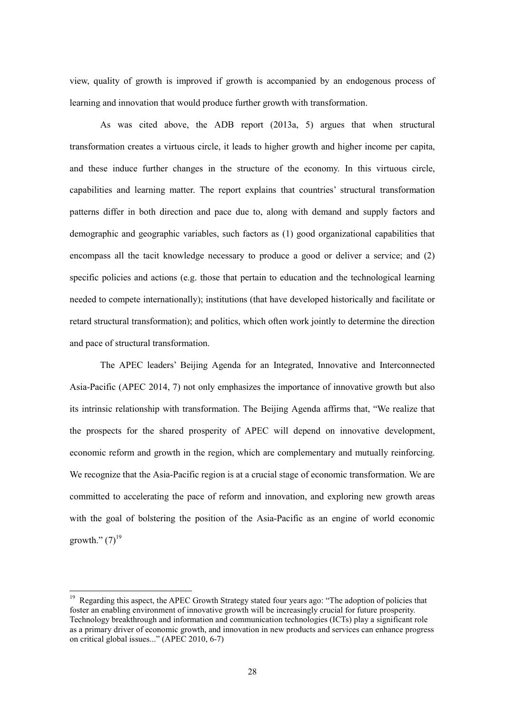view, quality of growth is improved if growth is accompanied by an endogenous process of learning and innovation that would produce further growth with transformation.

As was cited above, the ADB report (2013a, 5) argues that when structural transformation creates a virtuous circle, it leads to higher growth and higher income per capita, and these induce further changes in the structure of the economy. In this virtuous circle, capabilities and learning matter. The report explains that countries' structural transformation patterns differ in both direction and pace due to, along with demand and supply factors and demographic and geographic variables, such factors as (1) good organizational capabilities that encompass all the tacit knowledge necessary to produce a good or deliver a service; and (2) specific policies and actions (e.g. those that pertain to education and the technological learning needed to compete internationally); institutions (that have developed historically and facilitate or retard structural transformation); and politics, which often work jointly to determine the direction and pace of structural transformation.

The APEC leaders' Beijing Agenda for an Integrated, Innovative and Interconnected Asia-Pacific (APEC 2014, 7) not only emphasizes the importance of innovative growth but also its intrinsic relationship with transformation. The Beijing Agenda affirms that, "We realize that the prospects for the shared prosperity of APEC will depend on innovative development, economic reform and growth in the region, which are complementary and mutually reinforcing. We recognize that the Asia-Pacific region is at a crucial stage of economic transformation. We are committed to accelerating the pace of reform and innovation, and exploring new growth areas with the goal of bolstering the position of the Asia-Pacific as an engine of world economic growth."  $(7)^{19}$ 

 $\overline{a}$ 

<sup>&</sup>lt;sup>19</sup> Regarding this aspect, the APEC Growth Strategy stated four years ago: "The adoption of policies that foster an enabling environment of innovative growth will be increasingly crucial for future prosperity. Technology breakthrough and information and communication technologies (ICTs) play a significant role as a primary driver of economic growth, and innovation in new products and services can enhance progress on critical global issues..." (APEC 2010, 6-7)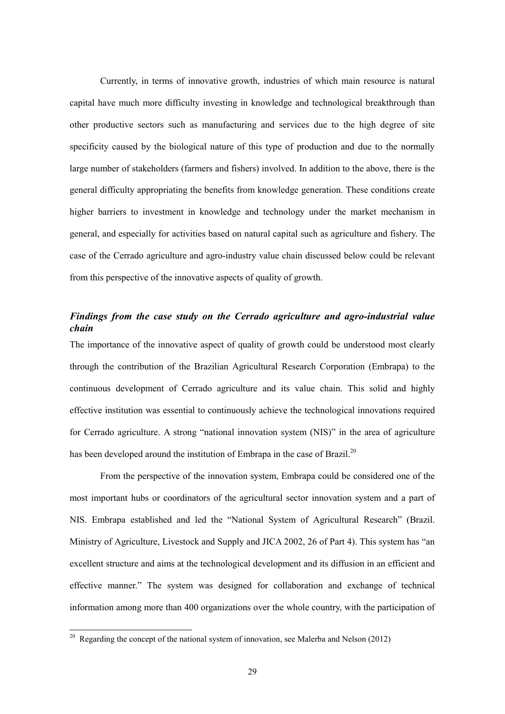Currently, in terms of innovative growth, industries of which main resource is natural capital have much more difficulty investing in knowledge and technological breakthrough than other productive sectors such as manufacturing and services due to the high degree of site specificity caused by the biological nature of this type of production and due to the normally large number of stakeholders (farmers and fishers) involved. In addition to the above, there is the general difficulty appropriating the benefits from knowledge generation. These conditions create higher barriers to investment in knowledge and technology under the market mechanism in general, and especially for activities based on natural capital such as agriculture and fishery. The case of the Cerrado agriculture and agro-industry value chain discussed below could be relevant from this perspective of the innovative aspects of quality of growth.

# *Findings from the case study on the Cerrado agriculture and agro-industrial value chain*

The importance of the innovative aspect of quality of growth could be understood most clearly through the contribution of the Brazilian Agricultural Research Corporation (Embrapa) to the continuous development of Cerrado agriculture and its value chain. This solid and highly effective institution was essential to continuously achieve the technological innovations required for Cerrado agriculture. A strong "national innovation system (NIS)" in the area of agriculture has been developed around the institution of Embrapa in the case of Brazil.<sup>20</sup>

From the perspective of the innovation system, Embrapa could be considered one of the most important hubs or coordinators of the agricultural sector innovation system and a part of NIS. Embrapa established and led the "National System of Agricultural Research" (Brazil. Ministry of Agriculture, Livestock and Supply and JICA 2002, 26 of Part 4). This system has "an excellent structure and aims at the technological development and its diffusion in an efficient and effective manner." The system was designed for collaboration and exchange of technical information among more than 400 organizations over the whole country, with the participation of

 $\overline{a}$ 

<sup>&</sup>lt;sup>20</sup> Regarding the concept of the national system of innovation, see Malerba and Nelson (2012)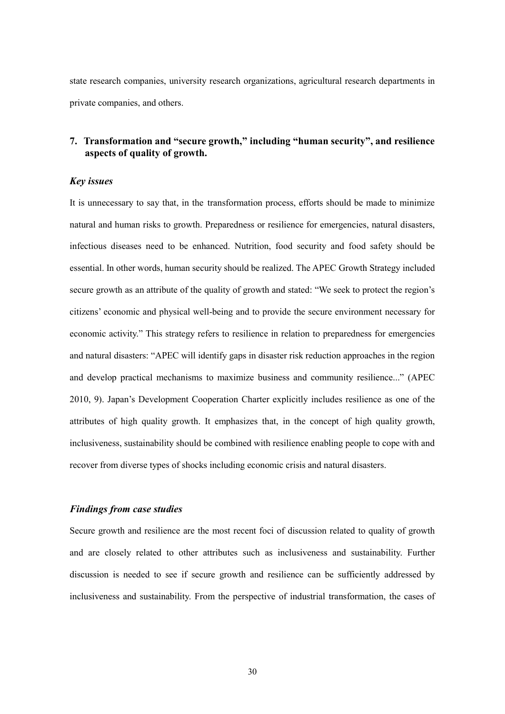state research companies, university research organizations, agricultural research departments in private companies, and others.

# **7. Transformation and "secure growth," including "human security", and resilience aspects of quality of growth.**

### *Key issues*

It is unnecessary to say that, in the transformation process, efforts should be made to minimize natural and human risks to growth. Preparedness or resilience for emergencies, natural disasters, infectious diseases need to be enhanced. Nutrition, food security and food safety should be essential. In other words, human security should be realized. The APEC Growth Strategy included secure growth as an attribute of the quality of growth and stated: "We seek to protect the region's citizens' economic and physical well-being and to provide the secure environment necessary for economic activity." This strategy refers to resilience in relation to preparedness for emergencies and natural disasters: "APEC will identify gaps in disaster risk reduction approaches in the region and develop practical mechanisms to maximize business and community resilience..." (APEC 2010, 9). Japan's Development Cooperation Charter explicitly includes resilience as one of the attributes of high quality growth. It emphasizes that, in the concept of high quality growth, inclusiveness, sustainability should be combined with resilience enabling people to cope with and recover from diverse types of shocks including economic crisis and natural disasters.

## *Findings from case studies*

Secure growth and resilience are the most recent foci of discussion related to quality of growth and are closely related to other attributes such as inclusiveness and sustainability. Further discussion is needed to see if secure growth and resilience can be sufficiently addressed by inclusiveness and sustainability. From the perspective of industrial transformation, the cases of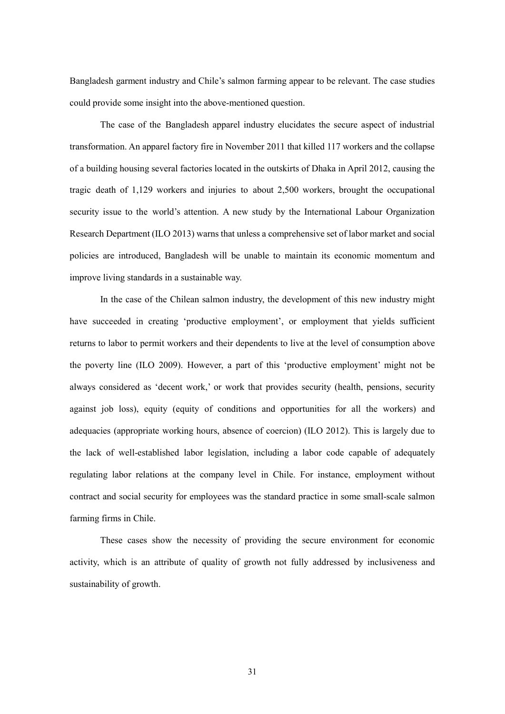Bangladesh garment industry and Chile's salmon farming appear to be relevant. The case studies could provide some insight into the above-mentioned question.

The case of the Bangladesh apparel industry elucidates the secure aspect of industrial transformation. An apparel factory fire in November 2011 that killed 117 workers and the collapse of a building housing several factories located in the outskirts of Dhaka in April 2012, causing the tragic death of 1,129 workers and injuries to about 2,500 workers, brought the occupational security issue to the world's attention. A new study by the International Labour Organization Research Department (ILO 2013) warns that unless a comprehensive set of labor market and social policies are introduced, Bangladesh will be unable to maintain its economic momentum and improve living standards in a sustainable way.

In the case of the Chilean salmon industry, the development of this new industry might have succeeded in creating 'productive employment', or employment that yields sufficient returns to labor to permit workers and their dependents to live at the level of consumption above the poverty line (ILO 2009). However, a part of this 'productive employment' might not be always considered as 'decent work,' or work that provides security (health, pensions, security against job loss), equity (equity of conditions and opportunities for all the workers) and adequacies (appropriate working hours, absence of coercion) (ILO 2012). This is largely due to the lack of well-established labor legislation, including a labor code capable of adequately regulating labor relations at the company level in Chile. For instance, employment without contract and social security for employees was the standard practice in some small-scale salmon farming firms in Chile.

These cases show the necessity of providing the secure environment for economic activity, which is an attribute of quality of growth not fully addressed by inclusiveness and sustainability of growth.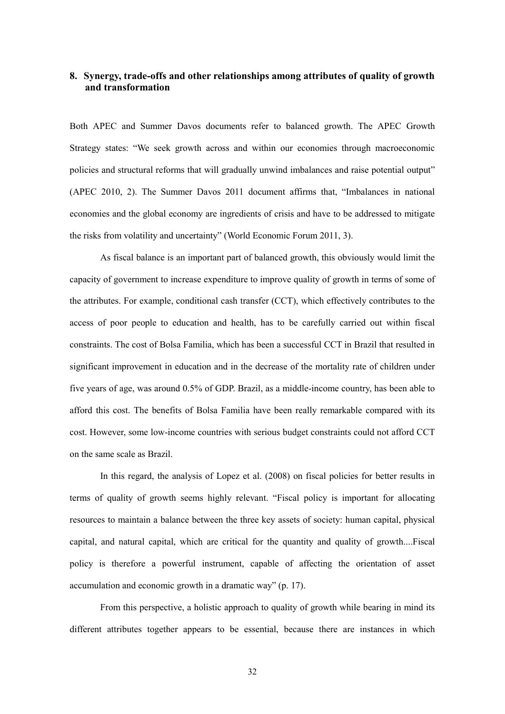# **8. Synergy, trade-offs and other relationships among attributes of quality of growth and transformation**

Both APEC and Summer Davos documents refer to balanced growth. The APEC Growth Strategy states: "We seek growth across and within our economies through macroeconomic policies and structural reforms that will gradually unwind imbalances and raise potential output" (APEC 2010, 2). The Summer Davos 2011 document affirms that, "Imbalances in national economies and the global economy are ingredients of crisis and have to be addressed to mitigate the risks from volatility and uncertainty" (World Economic Forum 2011, 3).

As fiscal balance is an important part of balanced growth, this obviously would limit the capacity of government to increase expenditure to improve quality of growth in terms of some of the attributes. For example, conditional cash transfer (CCT), which effectively contributes to the access of poor people to education and health, has to be carefully carried out within fiscal constraints. The cost of Bolsa Familia, which has been a successful CCT in Brazil that resulted in significant improvement in education and in the decrease of the mortality rate of children under five years of age, was around 0.5% of GDP. Brazil, as a middle-income country, has been able to afford this cost. The benefits of Bolsa Familia have been really remarkable compared with its cost. However, some low-income countries with serious budget constraints could not afford CCT on the same scale as Brazil.

In this regard, the analysis of Lopez et al. (2008) on fiscal policies for better results in terms of quality of growth seems highly relevant. "Fiscal policy is important for allocating resources to maintain a balance between the three key assets of society: human capital, physical capital, and natural capital, which are critical for the quantity and quality of growth....Fiscal policy is therefore a powerful instrument, capable of affecting the orientation of asset accumulation and economic growth in a dramatic way" (p. 17).

From this perspective, a holistic approach to quality of growth while bearing in mind its different attributes together appears to be essential, because there are instances in which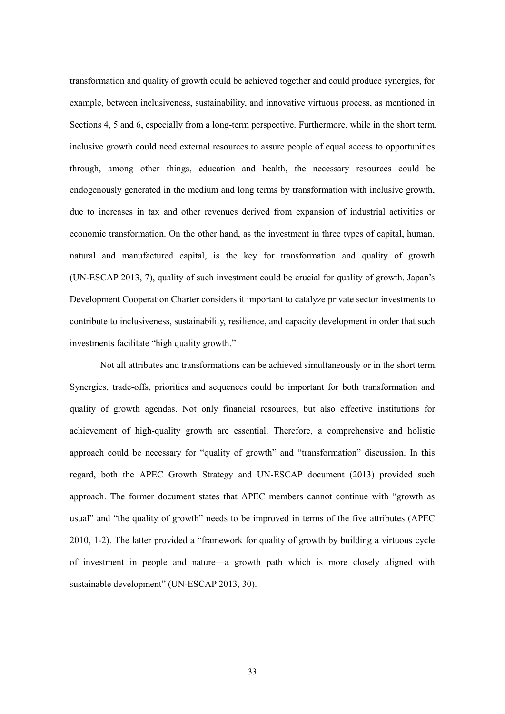transformation and quality of growth could be achieved together and could produce synergies, for example, between inclusiveness, sustainability, and innovative virtuous process, as mentioned in Sections 4, 5 and 6, especially from a long-term perspective. Furthermore, while in the short term, inclusive growth could need external resources to assure people of equal access to opportunities through, among other things, education and health, the necessary resources could be endogenously generated in the medium and long terms by transformation with inclusive growth, due to increases in tax and other revenues derived from expansion of industrial activities or economic transformation. On the other hand, as the investment in three types of capital, human, natural and manufactured capital, is the key for transformation and quality of growth (UN-ESCAP 2013, 7), quality of such investment could be crucial for quality of growth. Japan's Development Cooperation Charter considers it important to catalyze private sector investments to contribute to inclusiveness, sustainability, resilience, and capacity development in order that such investments facilitate "high quality growth."

Not all attributes and transformations can be achieved simultaneously or in the short term. Synergies, trade-offs, priorities and sequences could be important for both transformation and quality of growth agendas. Not only financial resources, but also effective institutions for achievement of high-quality growth are essential. Therefore, a comprehensive and holistic approach could be necessary for "quality of growth" and "transformation" discussion. In this regard, both the APEC Growth Strategy and UN-ESCAP document (2013) provided such approach. The former document states that APEC members cannot continue with "growth as usual" and "the quality of growth" needs to be improved in terms of the five attributes (APEC 2010, 1-2). The latter provided a "framework for quality of growth by building a virtuous cycle of investment in people and nature—a growth path which is more closely aligned with sustainable development" (UN-ESCAP 2013, 30).

33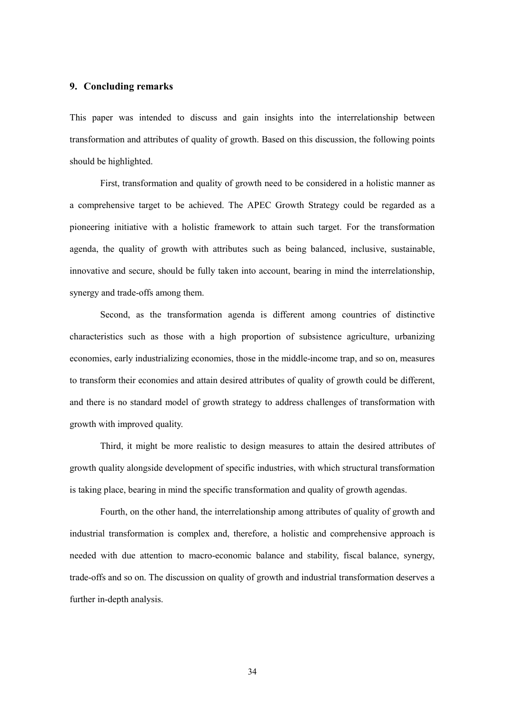## **9. Concluding remarks**

This paper was intended to discuss and gain insights into the interrelationship between transformation and attributes of quality of growth. Based on this discussion, the following points should be highlighted.

First, transformation and quality of growth need to be considered in a holistic manner as a comprehensive target to be achieved. The APEC Growth Strategy could be regarded as a pioneering initiative with a holistic framework to attain such target. For the transformation agenda, the quality of growth with attributes such as being balanced, inclusive, sustainable, innovative and secure, should be fully taken into account, bearing in mind the interrelationship, synergy and trade-offs among them.

Second, as the transformation agenda is different among countries of distinctive characteristics such as those with a high proportion of subsistence agriculture, urbanizing economies, early industrializing economies, those in the middle-income trap, and so on, measures to transform their economies and attain desired attributes of quality of growth could be different, and there is no standard model of growth strategy to address challenges of transformation with growth with improved quality.

Third, it might be more realistic to design measures to attain the desired attributes of growth quality alongside development of specific industries, with which structural transformation is taking place, bearing in mind the specific transformation and quality of growth agendas.

Fourth, on the other hand, the interrelationship among attributes of quality of growth and industrial transformation is complex and, therefore, a holistic and comprehensive approach is needed with due attention to macro-economic balance and stability, fiscal balance, synergy, trade-offs and so on. The discussion on quality of growth and industrial transformation deserves a further in-depth analysis.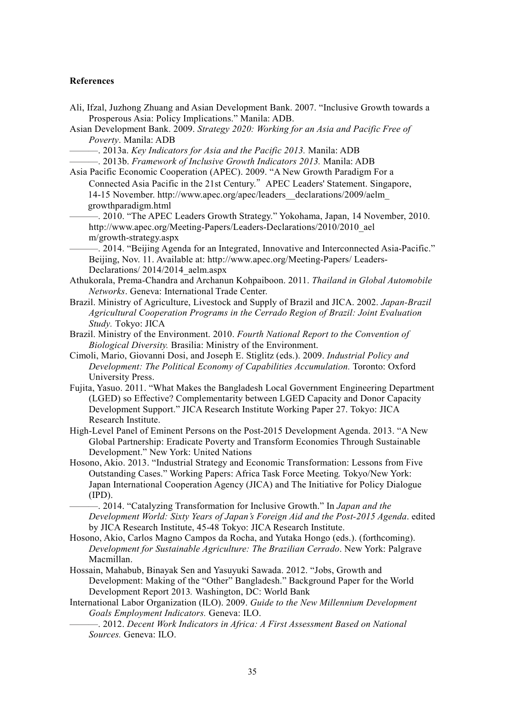#### **References**

- Ali, Ifzal, Juzhong Zhuang and Asian Development Bank. 2007. "Inclusive Growth towards a Prosperous Asia: Policy Implications." Manila: ADB.
- Asian Development Bank. 2009. *Strategy 2020: Working for an Asia and Pacific Free of Poverty*. Manila: ADB
	- ———. 2013a. *Key Indicators for Asia and the Pacific 2013.* Manila: ADB
	- ———. 2013b. *Framework of Inclusive Growth Indicators 2013.* Manila: ADB

Asia Pacific Economic Cooperation (APEC). 2009. "A New Growth Paradigm For a Connected Asia Pacific in the 21st Century." APEC Leaders' Statement. Singapore, 14-15 November. http://www.apec.org/apec/leaders\_\_declarations/2009/aelm\_ growthparadigm.html

-. 2010. "The APEC Leaders Growth Strategy." Yokohama, Japan, 14 November, 2010. http://www.apec.org/Meeting-Papers/Leaders-Declarations/2010/2010\_ael m/growth-strategy.aspx

———. 2014. "Beijing Agenda for an Integrated, Innovative and Interconnected Asia-Pacific." Beijing, Nov. 11. Available at: http://www.apec.org/Meeting-Papers/ Leaders-Declarations/2014/2014\_aelm.aspx

- Athukorala, Prema-Chandra and Archanun Kohpaiboon. 2011. *Thailand in Global Automobile Networks*. Geneva: International Trade Center.
- Brazil. Ministry of Agriculture, Livestock and Supply of Brazil and JICA. 2002. *Japan-Brazil Agricultural Cooperation Programs in the Cerrado Region of Brazil: Joint Evaluation Study.* Tokyo: JICA
- Brazil. Ministry of the Environment. 2010. *Fourth National Report to the Convention of Biological Diversity.* Brasilia: Ministry of the Environment.
- Cimoli, Mario, Giovanni Dosi, and Joseph E. Stiglitz (eds.). 2009. *Industrial Policy and Development: The Political Economy of Capabilities Accumulation.* Toronto: Oxford University Press.
- Fujita, Yasuo. 2011. "What Makes the Bangladesh Local Government Engineering Department (LGED) so Effective? Complementarity between LGED Capacity and Donor Capacity Development Support." JICA Research Institute Working Paper 27. Tokyo: JICA Research Institute.
- High-Level Panel of Eminent Persons on the Post-2015 Development Agenda. 2013. "A New Global Partnership: Eradicate Poverty and Transform Economies Through Sustainable Development." New York: United Nations
- Hosono, Akio. 2013. "Industrial Strategy and Economic Transformation: Lessons from Five Outstanding Cases." Working Papers: Africa Task Force Meeting*.* Tokyo/New York: Japan International Cooperation Agency (JICA) and The Initiative for Policy Dialogue (IPD).

———. 2014. "Catalyzing Transformation for Inclusive Growth." In *Japan and the Development World: Sixty Years of Japan's Foreign Aid and the Post-2015 Agenda*. edited by JICA Research Institute, 45-48 Tokyo: JICA Research Institute.

- Hosono, Akio, Carlos Magno Campos da Rocha, and Yutaka Hongo (eds.). (forthcoming). *Development for Sustainable Agriculture: The Brazilian Cerrado*. New York: Palgrave Macmillan.
- Hossain, Mahabub, Binayak Sen and Yasuyuki Sawada. 2012. "Jobs, Growth and Development: Making of the "Other" Bangladesh." Background Paper for the World Development Report 2013*.* Washington, DC: World Bank
- International Labor Organization (ILO). 2009. *Guide to the New Millennium Development Goals Employment Indicators.* Geneva: ILO.
	- ———. 2012. *Decent Work Indicators in Africa: A First Assessment Based on National Sources.* Geneva: ILO.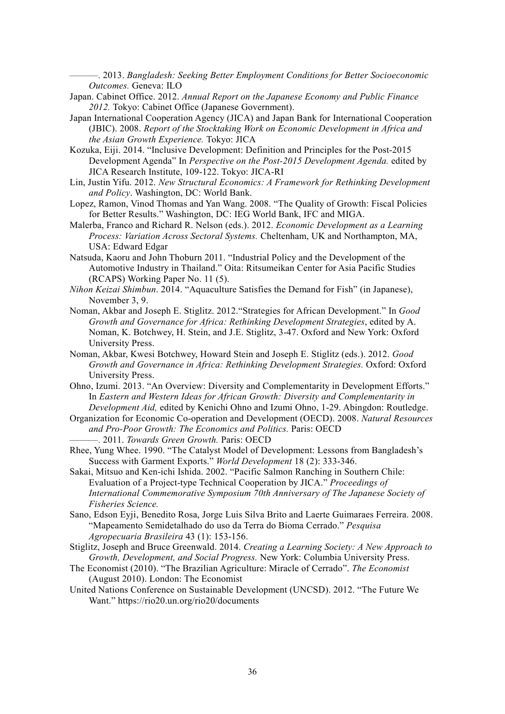———. 2013. *Bangladesh: Seeking Better Employment Conditions for Better Socioeconomic Outcomes.* Geneva: ILO

- Japan. Cabinet Office. 2012. *Annual Report on the Japanese Economy and Public Finance 2012.* Tokyo: Cabinet Office (Japanese Government).
- Japan International Cooperation Agency (JICA) and Japan Bank for International Cooperation (JBIC). 2008. *Report of the Stocktaking Work on Economic Development in Africa and the Asian Growth Experience.* Tokyo: JICA
- Kozuka, Eiji. 2014. "Inclusive Development: Definition and Principles for the Post-2015 Development Agenda" In *Perspective on the Post-2015 Development Agenda.* edited by JICA Research Institute, 109-122. Tokyo: JICA-RI
- Lin, Justin Yifu. 2012. *New Structural Economics: A Framework for Rethinking Development and Policy*. Washington, DC: World Bank.
- Lopez, Ramon, Vinod Thomas and Yan Wang. 2008. "The Quality of Growth: Fiscal Policies for Better Results." Washington, DC: IEG World Bank, IFC and MIGA.
- Malerba, Franco and Richard R. Nelson (eds.). 2012. *Economic Development as a Learning Process: Variation Across Sectoral Systems.* Cheltenham, UK and Northampton, MA, USA: Edward Edgar
- Natsuda, Kaoru and John Thoburn 2011. "Industrial Policy and the Development of the Automotive Industry in Thailand." Oita: Ritsumeikan Center for Asia Pacific Studies (RCAPS) Working Paper No. 11 (5).
- *Nihon Keizai Shimbun*. 2014. "Aquaculture Satisfies the Demand for Fish" (in Japanese), November 3, 9.
- Noman, Akbar and Joseph E. Stiglitz. 2012."Strategies for African Development." In *Good Growth and Governance for Africa: Rethinking Development Strategies*, edited by A. Noman, K. Botchwey, H. Stein, and J.E. Stiglitz, 3-47. Oxford and New York: Oxford University Press.
- Noman, Akbar, Kwesi Botchwey, Howard Stein and Joseph E. Stiglitz (eds.). 2012. *Good Growth and Governance in Africa: Rethinking Development Strategies.* Oxford: Oxford University Press.
- Ohno, Izumi. 2013. "An Overview: Diversity and Complementarity in Development Efforts." In *Eastern and Western Ideas for African Growth: Diversity and Complementarity in Development Aid,* edited by Kenichi Ohno and Izumi Ohno, 1-29. Abingdon: Routledge.
- Organization for Economic Co-operation and Development (OECD). 2008. *Natural Resources and Pro-Poor Growth: The Economics and Politics.* Paris: OECD
	- ———. 2011. *Towards Green Growth.* Paris: OECD
- Rhee, Yung Whee. 1990. "The Catalyst Model of Development: Lessons from Bangladesh's Success with Garment Exports." *World Development* 18 (2): 333-346.
- Sakai, Mitsuo and Ken-ichi Ishida. 2002. "Pacific Salmon Ranching in Southern Chile: Evaluation of a Project-type Technical Cooperation by JICA." *Proceedings of International Commemorative Symposium 70th Anniversary of The Japanese Society of Fisheries Science.*
- Sano, Edson Eyji, Benedito Rosa, Jorge Luis Silva Brito and Laerte Guimaraes Ferreira. 2008. "Mapeamento Semidetalhado do uso da Terra do Bioma Cerrado." *Pesquisa Agropecuaria Brasileira* 43 (1): 153-156.
- Stiglitz, Joseph and Bruce Greenwald. 2014. *Creating a Learning Society: A New Approach to Growth, Development, and Social Progress.* New York: Columbia University Press.
- The Economist (2010). "The Brazilian Agriculture: Miracle of Cerrado". *The Economist*  (August 2010). London: The Economist
- United Nations Conference on Sustainable Development (UNCSD). 2012. "The Future We Want." https://rio20.un.org/rio20/documents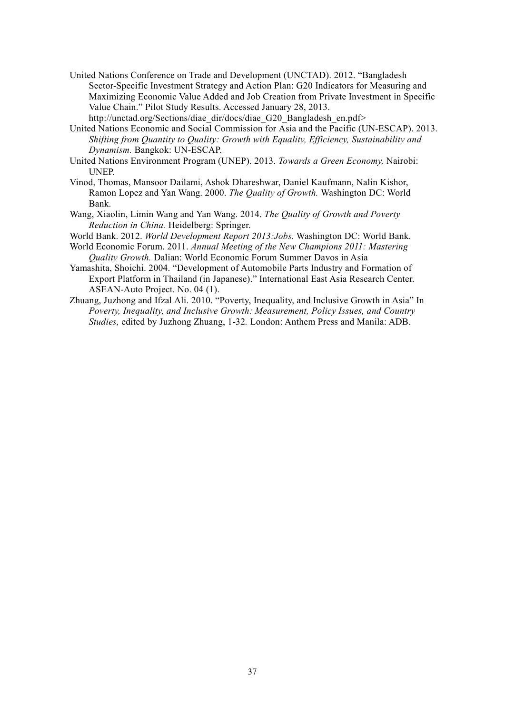- United Nations Conference on Trade and Development (UNCTAD). 2012. "Bangladesh Sector-Specific Investment Strategy and Action Plan: G20 Indicators for Measuring and Maximizing Economic Value Added and Job Creation from Private Investment in Specific Value Chain." Pilot Study Results. Accessed January 28, 2013. http://unctad.org/Sections/diae\_dir/docs/diae\_G20\_Bangladesh\_en.pdf>
- United Nations Economic and Social Commission for Asia and the Pacific (UN-ESCAP). 2013. *Shifting from Quantity to Quality: Growth with Equality, Efficiency, Sustainability and Dynamism.* Bangkok: UN-ESCAP.
- United Nations Environment Program (UNEP). 2013. *Towards a Green Economy,* Nairobi: UNEP.
- Vinod, Thomas, Mansoor Dailami, Ashok Dhareshwar, Daniel Kaufmann, Nalin Kishor, Ramon Lopez and Yan Wang. 2000. *The Quality of Growth.* Washington DC: World Bank.
- Wang, Xiaolin, Limin Wang and Yan Wang. 2014. *The Quality of Growth and Poverty Reduction in China.* Heidelberg: Springer.
- World Bank. 2012. *World Development Report 2013:Jobs.* Washington DC: World Bank.
- World Economic Forum. 2011. *Annual Meeting of the New Champions 2011: Mastering Quality Growth.* Dalian: World Economic Forum Summer Davos in Asia
- Yamashita, Shoichi. 2004. "Development of Automobile Parts Industry and Formation of Export Platform in Thailand (in Japanese)." International East Asia Research Center. ASEAN-Auto Project. No. 04 (1).
- Zhuang, Juzhong and Ifzal Ali. 2010. "Poverty, Inequality, and Inclusive Growth in Asia" In *Poverty, Inequality, and Inclusive Growth: Measurement, Policy Issues, and Country Studies,* edited by Juzhong Zhuang, 1-32*.* London: Anthem Press and Manila: ADB.